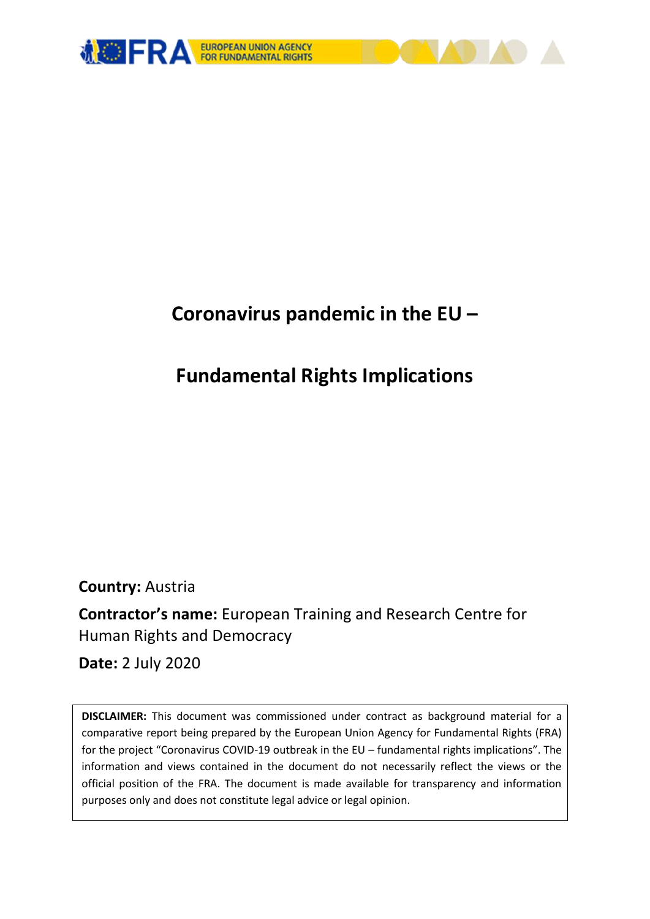

# **Coronavirus pandemic in the EU –**

# **Fundamental Rights Implications**

**Country:** Austria

**Contractor's name:** European Training and Research Centre for Human Rights and Democracy

**Date:** 2 July 2020

**DISCLAIMER:** This document was commissioned under contract as background material for a comparative report being prepared by the European Union Agency for Fundamental Rights (FRA) for the project "Coronavirus COVID-19 outbreak in the EU – fundamental rights implications". The information and views contained in the document do not necessarily reflect the views or the official position of the FRA. The document is made available for transparency and information purposes only and does not constitute legal advice or legal opinion.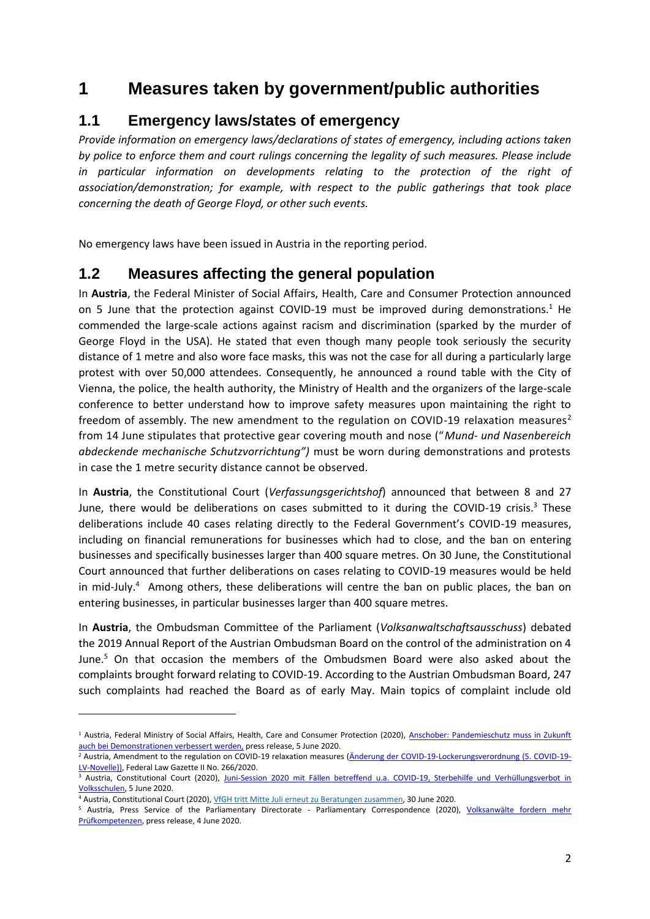## **1 Measures taken by government/public authorities**

### **1.1 Emergency laws/states of emergency**

*Provide information on emergency laws/declarations of states of emergency, including actions taken by police to enforce them and court rulings concerning the legality of such measures. Please include*  in particular information on developments relating to the protection of the right of *association/demonstration; for example, with respect to the public gatherings that took place concerning the death of George Floyd, or other such events.*

No emergency laws have been issued in Austria in the reporting period.

### **1.2 Measures affecting the general population**

In **Austria**, the Federal Minister of Social Affairs, Health, Care and Consumer Protection announced on 5 June that the protection against COVID-19 must be improved during demonstrations.<sup>1</sup> He commended the large-scale actions against racism and discrimination (sparked by the murder of George Floyd in the USA). He stated that even though many people took seriously the security distance of 1 metre and also wore face masks, this was not the case for all during a particularly large protest with over 50,000 attendees. Consequently, he announced a round table with the City of Vienna, the police, the health authority, the Ministry of Health and the organizers of the large-scale conference to better understand how to improve safety measures upon maintaining the right to freedom of assembly. The new amendment to the regulation on COVID-19 relaxation measures<sup>2</sup> from 14 June stipulates that protective gear covering mouth and nose ("*Mund- und Nasenbereich abdeckende mechanische Schutzvorrichtung")* must be worn during demonstrations and protests in case the 1 metre security distance cannot be observed.

In **Austria**, the Constitutional Court (*Verfassungsgerichtshof*) announced that between 8 and 27 June, there would be deliberations on cases submitted to it during the COVID-19 crisis. $3$  These deliberations include 40 cases relating directly to the Federal Government's COVID-19 measures, including on financial remunerations for businesses which had to close, and the ban on entering businesses and specifically businesses larger than 400 square metres. On 30 June, the Constitutional Court announced that further deliberations on cases relating to COVID-19 measures would be held in mid-July.<sup>4</sup> Among others, these deliberations will centre the ban on public places, the ban on entering businesses, in particular businesses larger than 400 square metres.

In **Austria**, the Ombudsman Committee of the Parliament (*Volksanwaltschaftsausschuss*) debated the 2019 Annual Report of the Austrian Ombudsman Board on the control of the administration on 4 June.<sup>5</sup> On that occasion the members of the Ombudsmen Board were also asked about the complaints brought forward relating to COVID-19. According to the Austrian Ombudsman Board, 247 such complaints had reached the Board as of early May. Main topics of complaint include old

<sup>&</sup>lt;sup>1</sup> Austria, Federal Ministry of Social Affairs, Health, Care and Consumer Protection (2020), Anschober: Pandemieschutz muss in Zukunft [auch bei Demonstrationen verbessert werden,](https://www.ots.at/presseaussendung/OTS_20200605_OTS0171/anschober-pandemieschutz-muss-in-zukunft-auch-bei-demonstrationen-verbessert-werden) press release, 5 June 2020.

<sup>&</sup>lt;sup>2</sup> Austria, Amendment to the regulation on COVID-19 relaxation measures [\(Änderung der COVID-19-Lockerungsverordnung \(5. COVID-19-](https://www.ris.bka.gv.at/Dokumente/BgblAuth/BGBLA_2020_II_266/BGBLA_2020_II_266.html) [LV-Novelle\)\),](https://www.ris.bka.gv.at/Dokumente/BgblAuth/BGBLA_2020_II_266/BGBLA_2020_II_266.html) Federal Law Gazette II No. 266/2020.

<sup>&</sup>lt;sup>3</sup> Austria, Constitutional Court (2020), Juni-Session 2020 mit Fällen betreffend u.a. COVID-19, Sterbehilfe und Verhüllungsverbot in [Volksschulen,](https://www.vfgh.gv.at/medien/Vorschau_Juni-Session.de.php) 5 June 2020.

<sup>4</sup> Austria, Constitutional Court (2020)[, VfGH tritt Mitte Juli erneut zu Beratungen zusammen,](https://www.vfgh.gv.at/medien/Juli_Beratungen.de.php) 30 June 2020.

<sup>5</sup> Austria, Press Service of the Parliamentary Directorate - Parliamentary Correspondence (2020), [Volksanwälte fordern mehr](https://www.ots.at/presseaussendung/OTS_20200604_OTS0243/volksanwaelte-fordern-mehr-pruefkompetenzen)  [Prüfkompetenzen,](https://www.ots.at/presseaussendung/OTS_20200604_OTS0243/volksanwaelte-fordern-mehr-pruefkompetenzen) press release, 4 June 2020.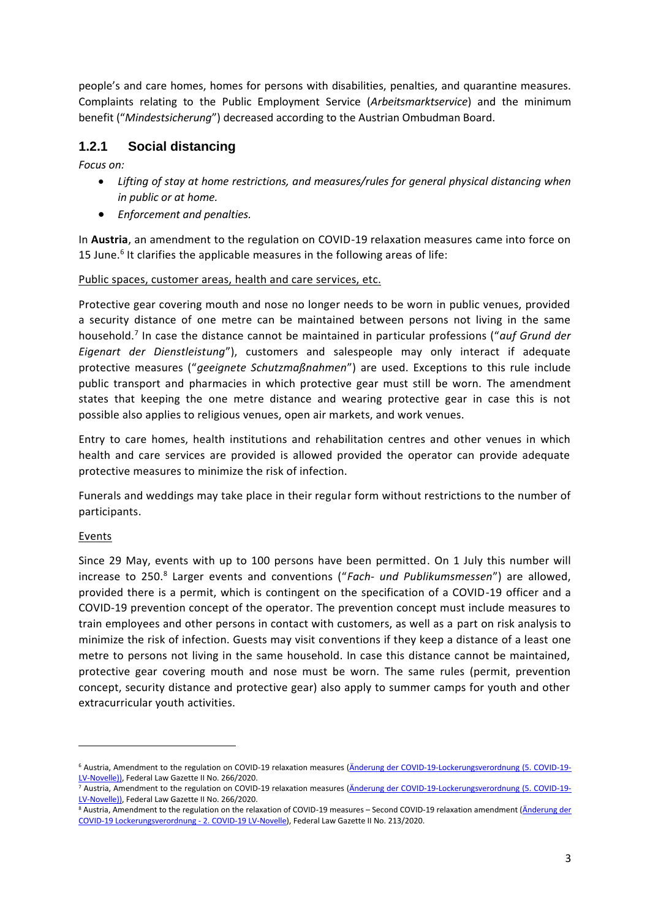people's and care homes, homes for persons with disabilities, penalties, and quarantine measures. Complaints relating to the Public Employment Service (*Arbeitsmarktservice*) and the minimum benefit ("*Mindestsicherung*") decreased according to the Austrian Ombudman Board.

#### **1.2.1 Social distancing**

*Focus on:* 

- *Lifting of stay at home restrictions, and measures/rules for general physical distancing when in public or at home.*
- *Enforcement and penalties.*

In **Austria**, an amendment to the regulation on COVID-19 relaxation measures came into force on 15 June.<sup>6</sup> It clarifies the applicable measures in the following areas of life:

#### Public spaces, customer areas, health and care services, etc.

Protective gear covering mouth and nose no longer needs to be worn in public venues, provided a security distance of one metre can be maintained between persons not living in the same household.<sup>7</sup> In case the distance cannot be maintained in particular professions ("*auf Grund der Eigenart der Dienstleistung*"), customers and salespeople may only interact if adequate protective measures ("*geeignete Schutzmaßnahmen*") are used. Exceptions to this rule include public transport and pharmacies in which protective gear must still be worn. The amendment states that keeping the one metre distance and wearing protective gear in case this is not possible also applies to religious venues, open air markets, and work venues.

Entry to care homes, health institutions and rehabilitation centres and other venues in which health and care services are provided is allowed provided the operator can provide adequate protective measures to minimize the risk of infection.

Funerals and weddings may take place in their regular form without restrictions to the number of participants.

#### Events

**.** 

Since 29 May, events with up to 100 persons have been permitted. On 1 July this number will increase to 250.<sup>8</sup> Larger events and conventions ("*Fach- und Publikumsmessen*") are allowed, provided there is a permit, which is contingent on the specification of a COVID-19 officer and a COVID-19 prevention concept of the operator. The prevention concept must include measures to train employees and other persons in contact with customers, as well as a part on risk analysis to minimize the risk of infection. Guests may visit conventions if they keep a distance of a least one metre to persons not living in the same household. In case this distance cannot be maintained, protective gear covering mouth and nose must be worn. The same rules (permit, prevention concept, security distance and protective gear) also apply to summer camps for youth and other extracurricular youth activities.

<sup>6</sup> Austria, Amendment to the regulation on COVID-19 relaxation measures [\(Änderung der COVID-19-Lockerungsverordnung \(5. COVID-19-](https://www.ris.bka.gv.at/Dokumente/BgblAuth/BGBLA_2020_II_266/BGBLA_2020_II_266.html) [LV-Novelle\)\),](https://www.ris.bka.gv.at/Dokumente/BgblAuth/BGBLA_2020_II_266/BGBLA_2020_II_266.html) Federal Law Gazette II No. 266/2020.

<sup>7</sup> Austria, Amendment to the regulation on COVID-19 relaxation measures [\(Änderung der COVID-19-Lockerungsverordnung \(5. COVID-19-](https://www.ris.bka.gv.at/Dokumente/BgblAuth/BGBLA_2020_II_266/BGBLA_2020_II_266.html) [LV-Novelle\)\),](https://www.ris.bka.gv.at/Dokumente/BgblAuth/BGBLA_2020_II_266/BGBLA_2020_II_266.html) Federal Law Gazette II No. 266/2020.

<sup>8</sup> Austria, Amendment to the regulation on the relaxation of COVID-19 measures – Second COVID-19 relaxation amendment [\(Änderung der](https://www.ris.bka.gv.at/Dokumente/BgblAuth/BGBLA_2020_II_231/BGBLA_2020_II_231.html)  [COVID-19 Lockerungsverordnung -](https://www.ris.bka.gv.at/Dokumente/BgblAuth/BGBLA_2020_II_231/BGBLA_2020_II_231.html) 2. COVID-19 LV-Novelle), Federal Law Gazette II No. 213/2020.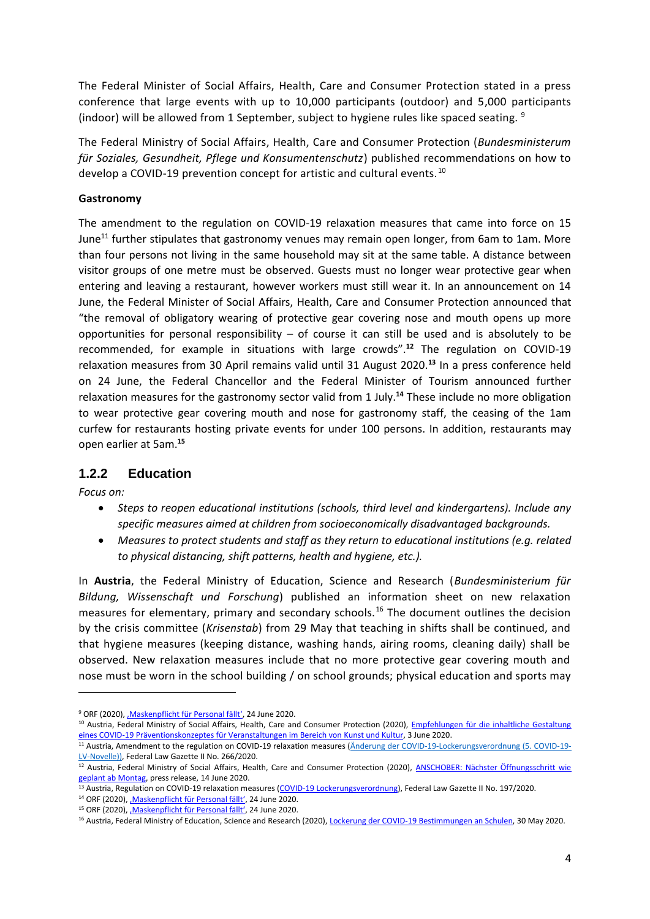The Federal Minister of Social Affairs, Health, Care and Consumer Protection stated in a press conference that large events with up to 10,000 participants (outdoor) and 5,000 participants (indoor) will be allowed from 1 September, subject to hygiene rules like spaced seating. 9

The Federal Ministry of Social Affairs, Health, Care and Consumer Protection (*Bundesministerum für Soziales, Gesundheit, Pflege und Konsumentenschutz*) published recommendations on how to develop a COVID-19 prevention concept for artistic and cultural events.<sup>10</sup>

#### **Gastronomy**

The amendment to the regulation on COVID-19 relaxation measures that came into force on 15 June<sup>11</sup> further stipulates that gastronomy venues may remain open longer, from 6am to 1am. More than four persons not living in the same household may sit at the same table. A distance between visitor groups of one metre must be observed. Guests must no longer wear protective gear when entering and leaving a restaurant, however workers must still wear it. In an announcement on 14 June, the Federal Minister of Social Affairs, Health, Care and Consumer Protection announced that "the removal of obligatory wearing of protective gear covering nose and mouth opens up more opportunities for personal responsibility – of course it can still be used and is absolutely to be recommended, for example in situations with large crowds".**<sup>12</sup>** The regulation on COVID-19 relaxation measures from 30 April remains valid until 31 August 2020.**<sup>13</sup>** In a press conference held on 24 June, the Federal Chancellor and the Federal Minister of Tourism announced further relaxation measures for the gastronomy sector valid from 1 July.**<sup>14</sup>** These include no more obligation to wear protective gear covering mouth and nose for gastronomy staff, the ceasing of the 1am curfew for restaurants hosting private events for under 100 persons. In addition, restaurants may open earlier at 5am.**<sup>15</sup>**

#### **1.2.2 Education**

*Focus on:*

**.** 

- *Steps to reopen educational institutions (schools, third level and kindergartens). Include any specific measures aimed at children from socioeconomically disadvantaged backgrounds.*
- *Measures to protect students and staff as they return to educational institutions (e.g. related to physical distancing, shift patterns, health and hygiene, etc.).*

In **Austria**, the Federal Ministry of Education, Science and Research (*Bundesministerium für Bildung, Wissenschaft und Forschung*) published an information sheet on new relaxation measures for elementary, primary and secondary schools.<sup>16</sup> The document outlines the decision by the crisis committee (*Krisenstab*) from 29 May that teaching in shifts shall be continued, and that hygiene measures (keeping distance, washing hands, airing rooms, cleaning daily) shall be observed. New relaxation measures include that no more protective gear covering mouth and nose must be worn in the school building / on school grounds; physical education and sports may

<sup>&</sup>lt;sup>9</sup> ORF (2020), Maskenpflicht für Personal fällt', 24 June 2020.

<sup>&</sup>lt;sup>10</sup> Austria, Federal Ministry of Social Affairs, Health, Care and Consumer Protection (2020), Empfehlungen für die inhaltliche Gestaltung [eines COVID-19 Präventionskonzeptes für Veranstaltungen im Bereich von Kunst und Kultur,](https://www.sozialministerium.at/dam/jcr:550994ed-b5c5-43e2-8b68-25c465176779/Empfehlungen_für_die_inhaltliche_Gestaltung_eines_COVID.pdf) 3 June 2020.

<sup>11</sup> Austria, Amendment to the regulation on COVID-19 relaxation measures [\(Änderung der COVID-19-Lockerungsverordnung \(5. COVID-19-](https://www.ris.bka.gv.at/Dokumente/BgblAuth/BGBLA_2020_II_266/BGBLA_2020_II_266.html) [LV-Novelle\)\),](https://www.ris.bka.gv.at/Dokumente/BgblAuth/BGBLA_2020_II_266/BGBLA_2020_II_266.html) Federal Law Gazette II No. 266/2020.

<sup>&</sup>lt;sup>12</sup> Austria, Federal Ministry of Social Affairs, Health, Care and Consumer Protection (2020), ANSCHOBER: Nächster Öffnungsschritt wie [geplant ab Montag,](https://www.ots.at/presseaussendung/OTS_20200614_OTS0027/anschober-naechster-oeffnungsschritt-wie-geplant-ab-montag) press release, 14 June 2020.

<sup>13</sup> Austria, Regulation on COVID-19 relaxation measures [\(COVID-19 Lockerungsverordnung\),](https://www.ris.bka.gv.at/GeltendeFassung.wxe?Abfrage=Bundesnormen&Gesetzesnummer=20011162) Federal Law Gazette II No. 197/2020.

<sup>&</sup>lt;sup>14</sup> ORF (2020), , Maskenpflicht für Personal fällt', 24 June 2020.

<sup>&</sup>lt;sup>15</sup> ORF (2020), , Maskenpflicht für Personal fällt', 24 June 2020.

<sup>&</sup>lt;sup>16</sup> Austria, Federal Ministry of Education, Science and Research (2020)[, Lockerung der COVID-19 Bestimmungen an Schulen,](https://www.bmbwf.gv.at/dam/jcr:7f15e545-bd28-4986-b304-c0086d1ab7df/corona_lockerungen_20200530.pdf) 30 May 2020.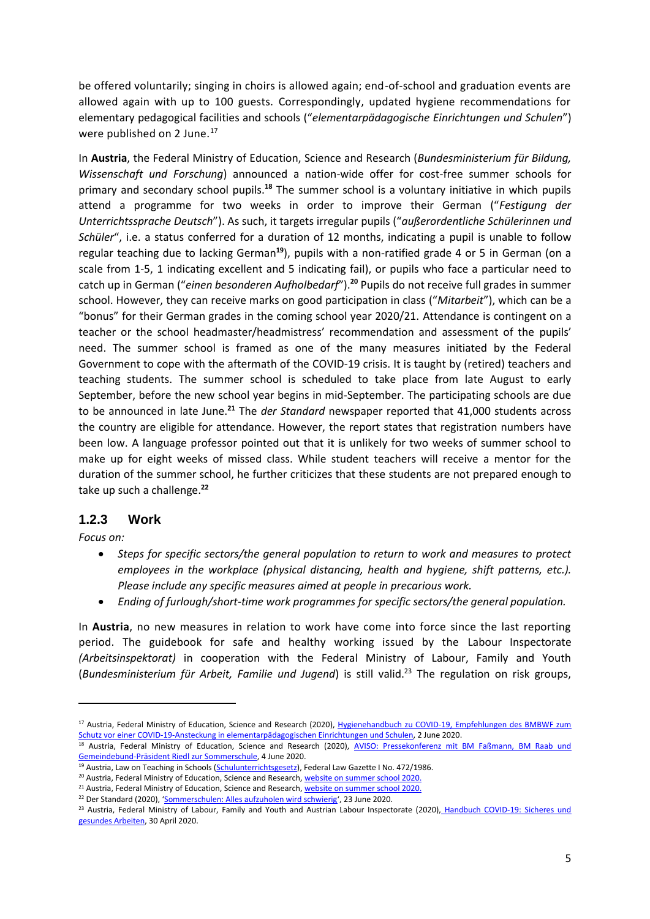be offered voluntarily; singing in choirs is allowed again; end-of-school and graduation events are allowed again with up to 100 guests. Correspondingly, updated hygiene recommendations for elementary pedagogical facilities and schools ("*elementarpädagogische Einrichtungen und Schulen*") were published on 2 June.<sup>17</sup>

In **Austria**, the Federal Ministry of Education, Science and Research (*Bundesministerium für Bildung, Wissenschaft und Forschung*) announced a nation-wide offer for cost-free summer schools for primary and secondary school pupils.**<sup>18</sup>** The summer school is a voluntary initiative in which pupils attend a programme for two weeks in order to improve their German ("*Festigung der Unterrichtssprache Deutsch*"). As such, it targets irregular pupils ("*außerordentliche Schülerinnen und Schüler*", i.e. a status conferred for a duration of 12 months, indicating a pupil is unable to follow regular teaching due to lacking German**<sup>19</sup>**), pupils with a non-ratified grade 4 or 5 in German (on a scale from 1-5, 1 indicating excellent and 5 indicating fail), or pupils who face a particular need to catch up in German ("*einen besonderen Aufholbedarf*").**<sup>20</sup>** Pupils do not receive full grades in summer school. However, they can receive marks on good participation in class ("*Mitarbeit*"), which can be a "bonus" for their German grades in the coming school year 2020/21. Attendance is contingent on a teacher or the school headmaster/headmistress' recommendation and assessment of the pupils' need. The summer school is framed as one of the many measures initiated by the Federal Government to cope with the aftermath of the COVID-19 crisis. It is taught by (retired) teachers and teaching students. The summer school is scheduled to take place from late August to early September, before the new school year begins in mid-September. The participating schools are due to be announced in late June.**<sup>21</sup>** The *der Standard* newspaper reported that 41,000 students across the country are eligible for attendance. However, the report states that registration numbers have been low. A language professor pointed out that it is unlikely for two weeks of summer school to make up for eight weeks of missed class. While student teachers will receive a mentor for the duration of the summer school, he further criticizes that these students are not prepared enough to take up such a challenge.**<sup>22</sup>**

#### **1.2.3 Work**

*Focus on:* 

**.** 

- *Steps for specific sectors/the general population to return to work and measures to protect employees in the workplace (physical distancing, health and hygiene, shift patterns, etc.). Please include any specific measures aimed at people in precarious work.*
- *Ending of furlough/short-time work programmes for specific sectors/the general population.*

In **Austria**, no new measures in relation to work have come into force since the last reporting period. The guidebook for safe and healthy working issued by the Labour Inspectorate *(Arbeitsinspektorat)* in cooperation with the Federal Ministry of Labour, Family and Youth (*Bundesministerium für Arbeit, Familie und Jugend*) is still valid.<sup>23</sup> The regulation on risk groups,

<sup>19</sup> Austria, Law on Teaching in Schools [\(Schulunterrichtsgesetz\),](https://www.ris.bka.gv.at/GeltendeFassung.wxe?Abfrage=Bundesnormen&Gesetzesnummer=10009600) Federal Law Gazette I No. 472/1986.

<sup>21</sup> Austria, Federal Ministry of Education, Science and Research[, website on summer school 2020.](https://www.bmbwf.gv.at/Themen/schule/beratung/corona/sommerschule.html)

<sup>17</sup> Austria, Federal Ministry of Education, Science and Research (2020), [Hygienehandbuch zu COVID-19, Empfehlungen des](https://www.bmbwf.gv.at/dam/jcr:170fa666-f03c-451f-815c-6d466fe9e265/corona_hygiene_schulen_hb.pdf) BMBWF zum [Schutz vor einer COVID-19-Ansteckung in elementarpädagogischen Einrichtungen und Schulen,](https://www.bmbwf.gv.at/dam/jcr:170fa666-f03c-451f-815c-6d466fe9e265/corona_hygiene_schulen_hb.pdf) 2 June 2020.

<sup>18</sup> Austria, Federal Ministry of Education, Science and Research (2020), AVISO: Pressekonferenz mit BM Faßmann, BM Raab und [Gemeindebund-Präsident Riedl zur Sommerschule,](https://www.ots.at/presseaussendung/OTS_20200604_OTS0219/aviso-pressekonferenz-mit-bm-fassmann-bm-raab-und-gemeindebund-praesident-riedl-zur-sommerschule) 4 June 2020.

<sup>&</sup>lt;sup>20</sup> Austria, Federal Ministry of Education, Science and Research[, website on summer school 2020.](https://www.bmbwf.gv.at/Themen/schule/beratung/corona/sommerschule.html)

<sup>22</sup> Der Standard (2020), '[Sommerschulen: Alles aufzuholen wird schwierig](https://www.derstandard.at/story/2000118234399/sommerschulen-alles-aufzuholen-wird-schwierig)', 23 June 2020.

<sup>23</sup> Austria, Federal Ministry of Labour, Family and Youth and Austrian Labour Inspectorate (2020), [Handbuch COVID-19: Sicheres und](https://www.bmafj.gv.at/dam/jcr:ee360632-a5b7-4dd6-a723-d7b3a1dae114/Handbuch_Sicheres-Gesundes-Arbeiten.pdf)  [gesundes Arbeiten,](https://www.bmafj.gv.at/dam/jcr:ee360632-a5b7-4dd6-a723-d7b3a1dae114/Handbuch_Sicheres-Gesundes-Arbeiten.pdf) 30 April 2020.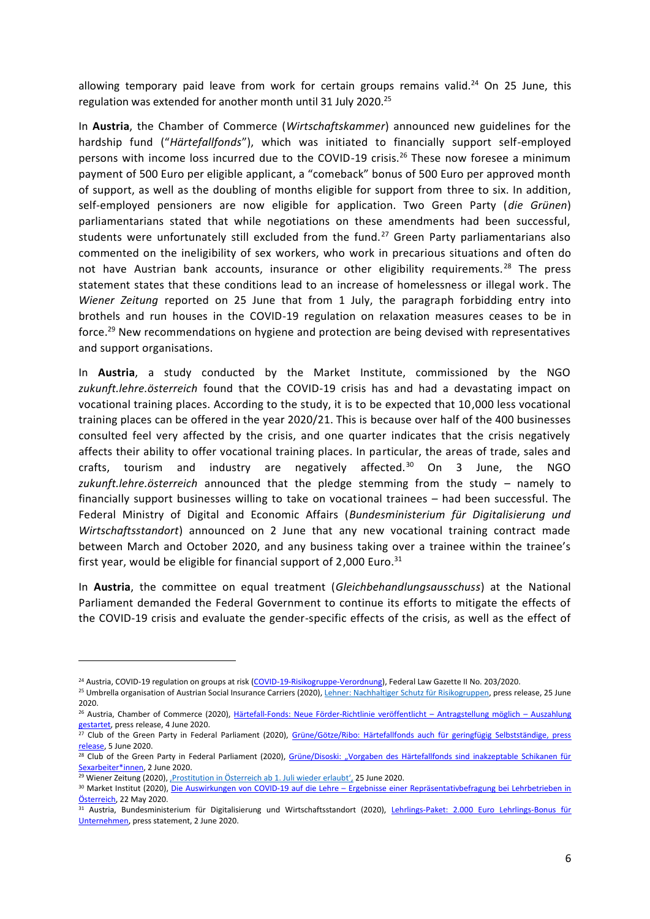allowing temporary paid leave from work for certain groups remains valid.<sup>24</sup> On 25 June, this regulation was extended for another month until 31 July 2020.<sup>25</sup>

In **Austria**, the Chamber of Commerce (*Wirtschaftskammer*) announced new guidelines for the hardship fund ("*Härtefallfonds*"), which was initiated to financially support self-employed persons with income loss incurred due to the COVID-19 crisis.<sup>26</sup> These now foresee a minimum payment of 500 Euro per eligible applicant, a "comeback" bonus of 500 Euro per approved month of support, as well as the doubling of months eligible for support from three to six. In addition, self-employed pensioners are now eligible for application. Two Green Party (*die Grünen*) parliamentarians stated that while negotiations on these amendments had been successful, students were unfortunately still excluded from the fund.<sup>27</sup> Green Party parliamentarians also commented on the ineligibility of sex workers, who work in precarious situations and often do not have Austrian bank accounts, insurance or other eligibility requirements.<sup>28</sup> The press statement states that these conditions lead to an increase of homelessness or illegal work. The *Wiener Zeitung* reported on 25 June that from 1 July, the paragraph forbidding entry into brothels and run houses in the COVID-19 regulation on relaxation measures ceases to be in force.<sup>29</sup> New recommendations on hygiene and protection are being devised with representatives and support organisations.

In **Austria**, a study conducted by the Market Institute, commissioned by the NGO *zukunft.lehre.österreich* found that the COVID-19 crisis has and had a devastating impact on vocational training places. According to the study, it is to be expected that 10,000 less vocational training places can be offered in the year 2020/21. This is because over half of the 400 businesses consulted feel very affected by the crisis, and one quarter indicates that the crisis negatively affects their ability to offer vocational training places. In particular, the areas of trade, sales and crafts, tourism and industry are negatively affected. $30$  On 3 June, the NGO *zukunft.lehre.österreich* announced that the pledge stemming from the study – namely to financially support businesses willing to take on vocational trainees – had been successful. The Federal Ministry of Digital and Economic Affairs (*Bundesministerium für Digitalisierung und Wirtschaftsstandort*) announced on 2 June that any new vocational training contract made between March and October 2020, and any business taking over a trainee within the trainee's first year, would be eligible for financial support of 2,000 Euro.<sup>31</sup>

In **Austria**, the committee on equal treatment (*Gleichbehandlungsausschuss*) at the National Parliament demanded the Federal Government to continue its efforts to mitigate the effects of the COVID-19 crisis and evaluate the gender-specific effects of the crisis, as well as the effect of

 $\overline{a}$ 

<sup>&</sup>lt;sup>24</sup> Austria, COVID-19 regulation on groups at risk [\(COVID-19-Risikogruppe-Verordnung\)](https://www.ris.bka.gv.at/Dokumente/BgblAuth/BGBLA_2020_II_203/BGBLA_2020_II_203.html), Federal Law Gazette II No. 203/2020.

<sup>&</sup>lt;sup>25</sup> Umbrella organisation of Austrian Social Insurance Carriers (2020)[, Lehner: Nachhaltiger Schutz für Risikogruppen,](https://www.ots.at/presseaussendung/OTS_20200625_OTS0264/lehner-nachhaltiger-schutz-fuer-risikogruppen) press release, 25 June 2020.

<sup>26</sup> Austria, Chamber of Commerce (2020), [Härtefall-Fonds: Neue Förder-Richtlinie veröffentlicht](https://www.ots.at/presseaussendung/OTS_20200604_OTS0160/haertefall-fonds-neue-foerder-richtlinie-veroeffentlicht-antragstellung-moeglich-auszahlung-gestartet) – Antragstellung möglich – Auszahlung [gestartet,](https://www.ots.at/presseaussendung/OTS_20200604_OTS0160/haertefall-fonds-neue-foerder-richtlinie-veroeffentlicht-antragstellung-moeglich-auszahlung-gestartet) press release, 4 June 2020.

<sup>&</sup>lt;sup>27</sup> Club of the Green Party in Federal Parliament (2020), Grüne/Götze/Ribo: Härtefallfonds auch für geringfügig Selbstständige, press [release,](https://www.ots.at/presseaussendung/OTS_20200605_OTS0018/gruenegoetzeribo-haertefallfonds-auch-fuer-geringfuegig-selbstaendige) 5 June 2020.

<sup>&</sup>lt;sup>28</sup> Club of the Green Party in Federal Parliament (2020), Grüne/Disoski: "Vorgaben des Härtefallfonds sind inakzeptable Schikanen für [Sexarbeiter\\*innen,](https://www.ots.at/presseaussendung/OTS_20200602_OTS0041/gruenedisoski-vorgaben-des-haertefallfonds-sind-inakzeptable-schikanen-fuer-sexarbeiterinnen) 2 June 2020.

<sup>&</sup>lt;sup>29</sup> Wiener Zeitung (2020), Prostitution in Österreich ab 1. Juli wieder erlaubt', 25 June 2020.

<sup>30</sup> Market Institut (2020), Die Auswirkungen von COVID-19 auf die Lehre – Ergebnisse einer Repräsentativbefragung bei Lehrbetrieben in [Österreich,](https://www.market.at/fileadmin/user_upload/Studien/2020/KW21/F1062_Charts_PK.pdf) 22 May 2020.

<sup>31</sup> Austria, Bundesministerium für Digitalisierung und Wirtschaftsstandort (2020), Lehrlings-Paket: 2.000 Euro Lehrlings-Bonus für [Unternehmen,](https://www.bmdw.gv.at/Presse/AktuellePressemeldungen/Lehrlings-Paket--2.000-Euro-Lehrlings-Bonus-für-Unternehmen.html) press statement, 2 June 2020.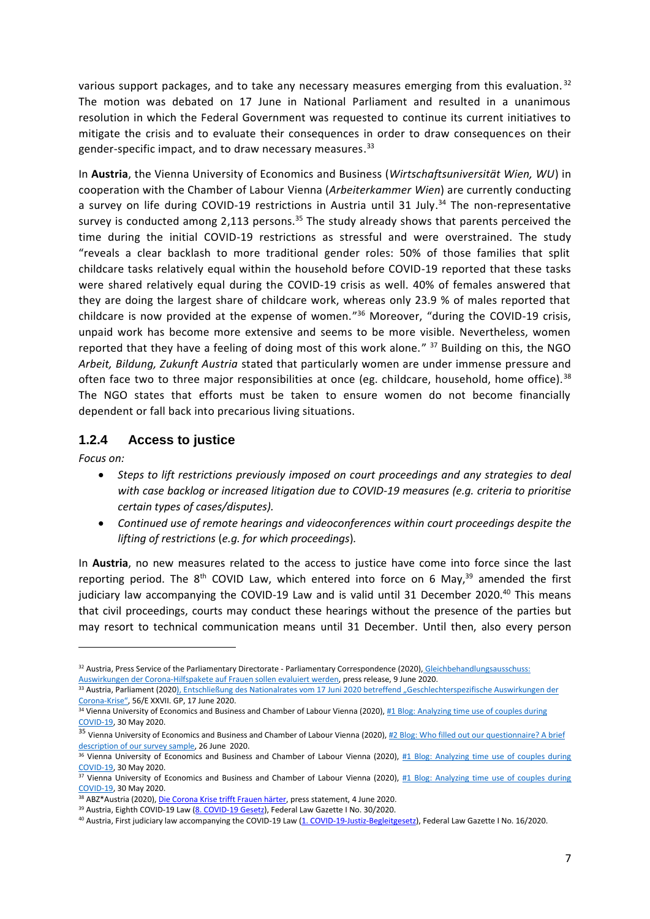various support packages, and to take any necessary measures emerging from this evaluation.  $32$ The motion was debated on 17 June in National Parliament and resulted in a unanimous resolution in which the Federal Government was requested to continue its current initiatives to mitigate the crisis and to evaluate their consequences in order to draw consequences on their gender-specific impact, and to draw necessary measures.<sup>33</sup>

In **Austria**, the Vienna University of Economics and Business (*Wirtschaftsuniversität Wien, WU*) in cooperation with the Chamber of Labour Vienna (*Arbeiterkammer Wien*) are currently conducting a survey on life during COVID-19 restrictions in Austria until 31 July.<sup>34</sup> The non-representative survey is conducted among 2,113 persons.<sup>35</sup> The study already shows that parents perceived the time during the initial COVID-19 restrictions as stressful and were overstrained. The study "reveals a clear backlash to more traditional gender roles: 50% of those families that split childcare tasks relatively equal within the household before COVID-19 reported that these tasks were shared relatively equal during the COVID-19 crisis as well. 40% of females answered that they are doing the largest share of childcare work, whereas only 23.9 % of males reported that childcare is now provided at the expense of women." <sup>36</sup> Moreover, "during the COVID-19 crisis, unpaid work has become more extensive and seems to be more visible. Nevertheless, women reported that they have a feeling of doing most of this work alone." <sup>37</sup> Building on this, the NGO *Arbeit, Bildung, Zukunft Austria* stated that particularly women are under immense pressure and often face two to three major responsibilities at once (eg. childcare, household, home office).<sup>38</sup> The NGO states that efforts must be taken to ensure women do not become financially dependent or fall back into precarious living situations.

#### **1.2.4 Access to justice**

*Focus on:* 

**.** 

- *Steps to lift restrictions previously imposed on court proceedings and any strategies to deal with case backlog or increased litigation due to COVID-19 measures (e.g. criteria to prioritise certain types of cases/disputes).*
- *Continued use of remote hearings and videoconferences within court proceedings despite the lifting of restrictions* (*e.g. for which proceedings*)*.*

In **Austria**, no new measures related to the access to justice have come into force since the last reporting period. The  $8<sup>th</sup>$  COVID Law, which entered into force on 6 May, $3<sup>9</sup>$  amended the first judiciary law accompanying the COVID-19 Law and is valid until 31 December 2020.<sup>40</sup> This means that civil proceedings, courts may conduct these hearings without the presence of the parties but may resort to technical communication means until 31 December. Until then, also every person

<sup>32</sup> Austria, Press Service of the Parliamentary Directorate - Parliamentary Correspondence (2020), [Gleichbehandlungsausschuss:](https://www.ots.at/presseaussendung/OTS_20200609_OTS0205/gleichbehandlungsausschuss-auswirkungen-der-corona-hilfspakete-auf-frauen-sollen-evaluiert-werden) [Auswirkungen der Corona-Hilfspakete auf Frauen sollen evaluiert werden,](https://www.ots.at/presseaussendung/OTS_20200609_OTS0205/gleichbehandlungsausschuss-auswirkungen-der-corona-hilfspakete-auf-frauen-sollen-evaluiert-werden) press release, 9 June 2020.

<sup>33</sup> Austria, Parliament (2020), Entschließung des Nationalrates vom 17 Juni 2020 betreffend "Geschlechterspezifische Auswirkungen der [Corona-](https://www.parlament.gv.at/PAKT/VHG/XXVII/E/E_00056/fname_804984.pdf)Krise", 56/E XXVII. GP, 17 June 2020.

<sup>34</sup> Vienna University of Economics and Business and Chamber of Labour Vienna (2020), #1 Blog: Analyzing time use of couples during [COVID-19,](https://www.wu.ac.at/en/vw3/research/current-projects/genderspecificeffectsofcovid-19/1blog) 30 May 2020.

<sup>35</sup> Vienna University of Economics and Business and Chamber of Labour Vienna (2020), #2 Blog: Who filled out our questionnaire? A brief [description of our survey sample,](https://www.wu.ac.at/en/vw3/research/current-projects/genderspecificeffectsofcovid-19/2blog) 26 June 2020.

<sup>36</sup> Vienna University of Economics and Business and Chamber of Labour Vienna (2020), #1 Blog: Analyzing time use of couples during [COVID-19,](https://www.wu.ac.at/en/vw3/research/current-projects/genderspecificeffectsofcovid-19/1blog) 30 May 2020.

<sup>37</sup> Vienna University of Economics and Business and Chamber of Labour Vienna (2020), #1 Blog: Analyzing time use of couples during [COVID-19,](https://www.wu.ac.at/en/vw3/research/current-projects/genderspecificeffectsofcovid-19/1blog) 30 May 2020.

<sup>38</sup> ABZ\*Austria (2020)[, Die Corona Krise trifft Frauen härter,](https://www.ots.at/presseaussendung/OTS_20200604_OTS0198/die-corona-krise-trifft-frauen-haerter) press statement, 4 June 2020.

<sup>39</sup> Austria, Eighth COVID-19 Law [\(8. COVID-19 Gesetz\)](https://www.ris.bka.gv.at/Dokumente/BgblAuth/BGBLA_2020_I_30/BGBLA_2020_I_30.html), Federal Law Gazette I No. 30/2020.

<sup>40</sup> Austria, First judiciary law accompanying the COVID-19 Law [\(1. COVID-19-Justiz-Begleitgesetz\),](https://www.ris.bka.gv.at/GeltendeFassung.wxe?Abfrage=Bundesnormen&Gesetzesnummer=20011087) Federal Law Gazette I No. 16/2020.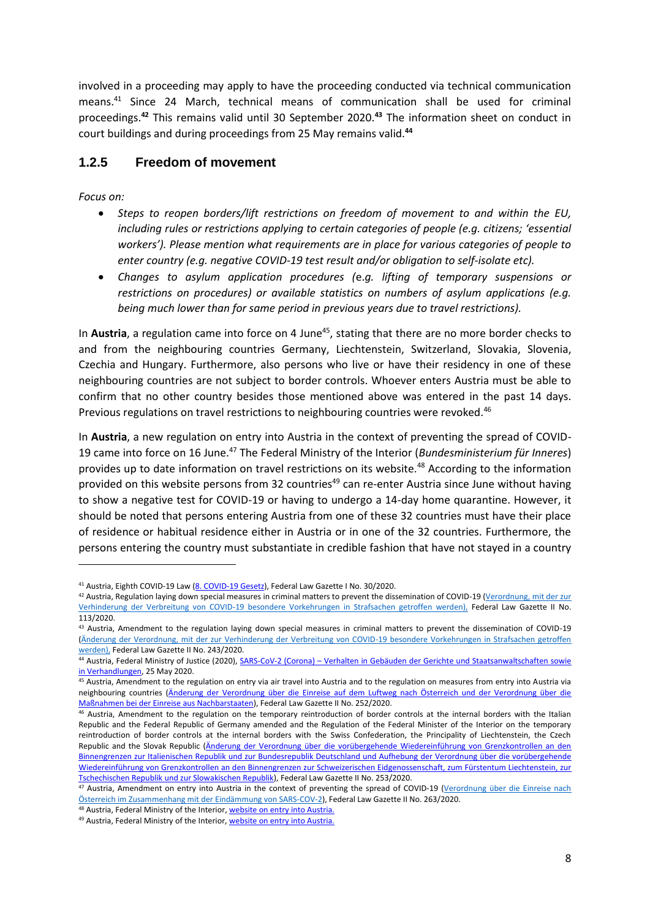involved in a proceeding may apply to have the proceeding conducted via technical communication means.<sup>41</sup> Since 24 March, technical means of communication shall be used for criminal proceedings.**<sup>42</sup>** This remains valid until 30 September 2020.**<sup>43</sup>** The information sheet on conduct in court buildings and during proceedings from 25 May remains valid.**<sup>44</sup>**

#### **1.2.5 Freedom of movement**

*Focus on:* 

1

- *Steps to reopen borders/lift restrictions on freedom of movement to and within the EU, including rules or restrictions applying to certain categories of people (e.g. citizens; 'essential workers'). Please mention what requirements are in place for various categories of people to enter country (e.g. negative COVID-19 test result and/or obligation to self-isolate etc).*
- *Changes to asylum application procedures (*e.*g. lifting of temporary suspensions or restrictions on procedures) or available statistics on numbers of asylum applications (e.g. being much lower than for same period in previous years due to travel restrictions).*

In **Austria**, a regulation came into force on 4 June<sup>45</sup>, stating that there are no more border checks to and from the neighbouring countries Germany, Liechtenstein, Switzerland, Slovakia, Slovenia, Czechia and Hungary. Furthermore, also persons who live or have their residency in one of these neighbouring countries are not subject to border controls. Whoever enters Austria must be able to confirm that no other country besides those mentioned above was entered in the past 14 days. Previous regulations on travel restrictions to neighbouring countries were revoked.<sup>46</sup>

In **Austria**, a new regulation on entry into Austria in the context of preventing the spread of COVID-19 came into force on 16 June.<sup>47</sup> The Federal Ministry of the Interior (*Bundesministerium für Inneres*) provides up to date information on travel restrictions on its website.<sup>48</sup> According to the information provided on this website persons from 32 countries<sup>49</sup> can re-enter Austria since June without having to show a negative test for COVID-19 or having to undergo a 14-day home quarantine. However, it should be noted that persons entering Austria from one of these 32 countries must have their place of residence or habitual residence either in Austria or in one of the 32 countries. Furthermore, the persons entering the country must substantiate in credible fashion that have not stayed in a country

<sup>&</sup>lt;sup>41</sup> Austria, Eighth COVID-19 Law [\(8. COVID-19 Gesetz\)](https://www.ris.bka.gv.at/Dokumente/BgblAuth/BGBLA_2020_I_30/BGBLA_2020_I_30.html), Federal Law Gazette I No. 30/2020.

<sup>42</sup> Austria, Regulation laying down special measures in criminal matters to prevent the dissemination of COVID-19 (Verordnung, mit der zur [Verhinderung der Verbreitung von COVID-19 besondere Vorkehrungen in Strafsachen getroffen werden\),](https://www.ris.bka.gv.at/Dokumente/BgblAuth/BGBLA_2020_II_113/BGBLA_2020_II_113.html) Federal Law Gazette II No. 113/2020.

<sup>43</sup> Austria, Amendment to the regulation laying down special measures in criminal matters to prevent the dissemination of COVID-19 [\(Änderung der Verordnung, mit der zur Verhinderung der Verbreitung von COVID-19 besondere Vorkehrungen in Strafsachen getroffen](https://www.ris.bka.gv.at/Dokumente/BgblAuth/BGBLA_2020_II_243/BGBLA_2020_II_243.html)  [werden\),](https://www.ris.bka.gv.at/Dokumente/BgblAuth/BGBLA_2020_II_243/BGBLA_2020_II_243.html) Federal Law Gazette II No. 243/2020.

<sup>&</sup>lt;sup>44</sup> Austria, Federal Ministry of Justice (2020), SARS-CoV-2 (Corona) – Verhalten in Gebäuden der Gerichte und Staatsanwaltschaften sowie [in Verhandlungen,](https://www.justiz.gv.at/file/2c94848a6ff6ffb20170de903c3a403a.de.0/sars-cov-2_-_verhaltensregeln_(infoblatt).pdf) 25 May 2020.

<sup>&</sup>lt;sup>45</sup> Austria, Amendment to the regulation on entry via air travel into Austria and to the regulation on measures from entry into Austria via neighbouring countries [\(Änderung der Verordnung über die Einreise auf dem Luftweg nach Österreich und der Verordnung über die](https://www.ris.bka.gv.at/Dokumente/BgblAuth/BGBLA_2020_II_252/BGBLA_2020_II_252.html)  [Maßnahmen bei der Einreise aus Nachbarstaaten\),](https://www.ris.bka.gv.at/Dokumente/BgblAuth/BGBLA_2020_II_252/BGBLA_2020_II_252.html) Federal Law Gazette II No. 252/2020.

<sup>&</sup>lt;sup>46</sup> Austria, Amendment to the regulation on the temporary reintroduction of border controls at the internal borders with the Italian Republic and the Federal Republic of Germany amended and the Regulation of the Federal Minister of the Interior on the temporary reintroduction of border controls at the internal borders with the Swiss Confederation, the Principality of Liechtenstein, the Czech Republic and the Slovak Republic (Änderung der Verordnung über die vorübergehende Wiedereinführung von Grenzkontrollen an den [Binnengrenzen zur Italienischen Republik und zur Bundesrepublik Deutschland und Aufhebung der Verordnung über die vorübergehende](https://www.ris.bka.gv.at/Dokumente/BgblAuth/BGBLA_2020_II_253/BGBLA_2020_II_253.html)  Wiedereinführung von Grenzkontrollen an den Binnengrenzen zur Schweizerischen Eidgenossenschaft, zum Fürstentum Liechtenstein, zur [Tschechischen Republik und zur Slowakischen Republik\)](https://www.ris.bka.gv.at/Dokumente/BgblAuth/BGBLA_2020_II_253/BGBLA_2020_II_253.html), Federal Law Gazette II No. 253/2020.

<sup>47</sup> Austria, Amendment on entry into Austria in the context of preventing the spread of COVID-19 (Verordnung über die Einreise nach [Österreich im Zusammenhang mit der Eindämmung von SARS-COV-2\)](https://www.ris.bka.gv.at/Dokumente/BgblAuth/BGBLA_2020_II_263/BGBLA_2020_II_263.html), Federal Law Gazette II No. 263/2020.

<sup>48</sup> Austria, Federal Ministry of the Interior[, website on entry into Austria.](https://bmi.gv.at/news.aspx?id=6848727832704B4B752F633D)

<sup>49</sup> Austria, Federal Ministry of the Interior[, website on entry into Austria.](https://bmi.gv.at/news.aspx?id=6848727832704B4B752F633D)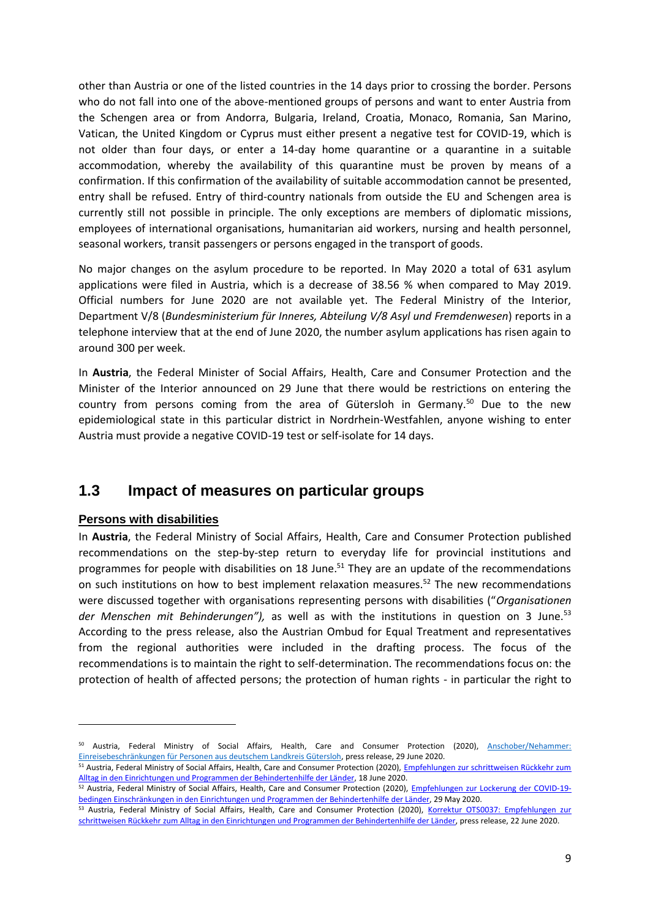other than Austria or one of the listed countries in the 14 days prior to crossing the border. Persons who do not fall into one of the above-mentioned groups of persons and want to enter Austria from the Schengen area or from Andorra, Bulgaria, Ireland, Croatia, Monaco, Romania, San Marino, Vatican, the United Kingdom or Cyprus must either present a negative test for COVID-19, which is not older than four days, or enter a 14-day home quarantine or a quarantine in a suitable accommodation, whereby the availability of this quarantine must be proven by means of a confirmation. If this confirmation of the availability of suitable accommodation cannot be presented, entry shall be refused. Entry of third-country nationals from outside the EU and Schengen area is currently still not possible in principle. The only exceptions are members of diplomatic missions, employees of international organisations, humanitarian aid workers, nursing and health personnel, seasonal workers, transit passengers or persons engaged in the transport of goods.

No major changes on the asylum procedure to be reported. In May 2020 a total of 631 asylum applications were filed in Austria, which is a decrease of 38.56 % when compared to May 2019. Official numbers for June 2020 are not available yet. The Federal Ministry of the Interior, Department V/8 (*Bundesministerium für Inneres, Abteilung V/8 Asyl und Fremdenwesen*) reports in a telephone interview that at the end of June 2020, the number asylum applications has risen again to around 300 per week.

In **Austria**, the Federal Minister of Social Affairs, Health, Care and Consumer Protection and the Minister of the Interior announced on 29 June that there would be restrictions on entering the country from persons coming from the area of Gütersloh in Germany.<sup>50</sup> Due to the new epidemiological state in this particular district in Nordrhein-Westfahlen, anyone wishing to enter Austria must provide a negative COVID-19 test or self-isolate for 14 days.

#### **1.3 Impact of measures on particular groups**

#### **Persons with disabilities**

**.** 

In **Austria**, the Federal Ministry of Social Affairs, Health, Care and Consumer Protection published recommendations on the step-by-step return to everyday life for provincial institutions and programmes for people with disabilities on 18 June.<sup>51</sup> They are an update of the recommendations on such institutions on how to best implement relaxation measures.<sup>52</sup> The new recommendations were discussed together with organisations representing persons with disabilities ("*Organisationen*  der Menschen mit Behinderungen"), as well as with the institutions in question on 3 June.<sup>53</sup> According to the press release, also the Austrian Ombud for Equal Treatment and representatives from the regional authorities were included in the drafting process. The focus of the recommendations is to maintain the right to self-determination. The recommendations focus on: the protection of health of affected persons; the protection of human rights - in particular the right to

<sup>50</sup> Austria, Federal Ministry of Social Affairs, Health, Care and Consumer Protection (2020), [Anschober/Nehammer:](https://www.ots.at/presseaussendung/OTS_20200629_OTS0039/anschobernehammer-einreisebeschraenkungen-fuer-personen-aus-deutschem-landkreis-guetersloh)  [Einreisebeschränkungen für Personen aus deutschem Landkreis Gütersloh,](https://www.ots.at/presseaussendung/OTS_20200629_OTS0039/anschobernehammer-einreisebeschraenkungen-fuer-personen-aus-deutschem-landkreis-guetersloh) press release, 29 June 2020.

<sup>51</sup> Austria, Federal Ministry of Social Affairs, Health, Care and Consumer Protection (2020), Empfehlungen zur schrittweisen Rückkehr zum [Alltag in den Einrichtungen und Programmen der Behindertenhilfe der Länder,](https://www.sozialministerium.at/dam/jcr:8df2d687-4541-4d75-98b0-7c98849b4959/Empfehlungen%20zur%20schrittweisen%20Rückkehr%20zum%20Alltagin%20den%20Einrichtungen%20und%20Programmender%20Behindertenhilfe%20der%20Länder.pdf) 18 June 2020.

<sup>52</sup> Austria, Federal Ministry of Social Affairs, Health, Care and Consumer Protection (2020), [Empfehlungen zur Lockerung der COVID-19](https://www.sozialministerium.at/dam/jcr:b599eb04-b24f-41c3-ab27-613416b68474/Empfehlungen%20zur%20Lockerungen%20in%20der%20Behindertenhilfe.pdf) [bedingen Einschränkungen in den Einrichtungen und Programmen der Behindertenhilfe der Länder,](https://www.sozialministerium.at/dam/jcr:b599eb04-b24f-41c3-ab27-613416b68474/Empfehlungen%20zur%20Lockerungen%20in%20der%20Behindertenhilfe.pdf) 29 May 2020.

<sup>53</sup> Austria, Federal Ministry of Social Affairs, Health, Care and Consumer Protection (2020), Korrektur OTS0037: Empfehlungen zur [schrittweisen Rückkehr zum Alltag in den Einrichtungen und Programmen der Behindertenhilfe der Länder,](https://www.ots.at/presseaussendung/OTS_20200622_OTS0053/korrektur-ots0037-empfehlungen-zur-schrittweisen-rueckkehr-zum-alltag-in-den-einrichtungen-und-programmen-der-behindertenhilfe-der-laender) press release, 22 June 2020.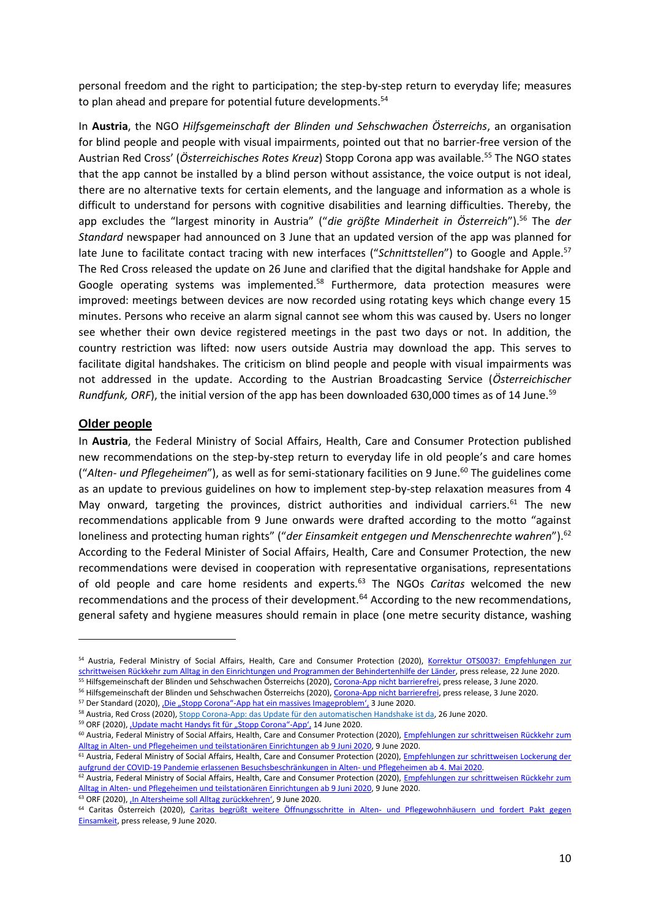personal freedom and the right to participation; the step-by-step return to everyday life; measures to plan ahead and prepare for potential future developments.<sup>54</sup>

In **Austria**, the NGO *Hilfsgemeinschaft der Blinden und Sehschwachen Österreichs*, an organisation for blind people and people with visual impairments, pointed out that no barrier-free version of the Austrian Red Cross' (*Österreichisches Rotes Kreuz*) Stopp Corona app was available.<sup>55</sup> The NGO states that the app cannot be installed by a blind person without assistance, the voice output is not ideal, there are no alternative texts for certain elements, and the language and information as a whole is difficult to understand for persons with cognitive disabilities and learning difficulties. Thereby, the app excludes the "largest minority in Austria" ("*die größte Minderheit in Österreich*").<sup>56</sup> The *der Standard* newspaper had announced on 3 June that an updated version of the app was planned for late June to facilitate contact tracing with new interfaces ("*Schnittstellen*") to Google and Apple.<sup>57</sup> The Red Cross released the update on 26 June and clarified that the digital handshake for Apple and Google operating systems was implemented.<sup>58</sup> Furthermore, data protection measures were improved: meetings between devices are now recorded using rotating keys which change every 15 minutes. Persons who receive an alarm signal cannot see whom this was caused by. Users no longer see whether their own device registered meetings in the past two days or not. In addition, the country restriction was lifted: now users outside Austria may download the app. This serves to facilitate digital handshakes. The criticism on blind people and people with visual impairments was not addressed in the update. According to the Austrian Broadcasting Service (*Österreichischer Rundfunk, ORF*), the initial version of the app has been downloaded 630,000 times as of 14 June.<sup>59</sup>

#### **Older people**

1

In **Austria**, the Federal Ministry of Social Affairs, Health, Care and Consumer Protection published new recommendations on the step-by-step return to everyday life in old people's and care homes ("Alten- *und Pflegeheimen*"), as well as for semi-stationary facilities on 9 June.<sup>60</sup> The guidelines come as an update to previous guidelines on how to implement step-by-step relaxation measures from 4 May onward, targeting the provinces, district authorities and individual carriers.<sup>61</sup> The new recommendations applicable from 9 June onwards were drafted according to the motto "against loneliness and protecting human rights" ("*der Einsamkeit entgegen und Menschenrechte wahren*").<sup>62</sup> According to the Federal Minister of Social Affairs, Health, Care and Consumer Protection, the new recommendations were devised in cooperation with representative organisations, representations of old people and care home residents and experts.<sup>63</sup> The NGOs *Caritas* welcomed the new recommendations and the process of their development.<sup>64</sup> According to the new recommendations, general safety and hygiene measures should remain in place (one metre security distance, washing

61 Austria, Federal Ministry of Social Affairs, Health, Care and Consumer Protection (2020), *Empfehlungen zur schrittweisen Lockerung der* [aufgrund der COVID-19 Pandemie erlassenen Besuchsbeschränkungen in Alten-](https://www.gesundheit.steiermark.at/cms/dokumente/11645224_72563015/eefa1e51/Lockerung%20Besuchsverbot.pdf) und Pflegeheimen ab 4. Mai 2020.

<sup>63</sup> ORF (2020), ['In Altersheime soll Alltag zurückkehren'](https://orf.at/stories/3168892/), 9 June 2020.

<sup>54</sup> Austria, Federal Ministry of Social Affairs, Health, Care and Consumer Protection (2020), Korrektur OTS0037: Empfehlungen zur [schrittweisen Rückkehr zum Alltag in den Einrichtungen und Programmen der Behindertenhilfe der Länder,](https://www.ots.at/presseaussendung/OTS_20200622_OTS0053/korrektur-ots0037-empfehlungen-zur-schrittweisen-rueckkehr-zum-alltag-in-den-einrichtungen-und-programmen-der-behindertenhilfe-der-laender) press release, 22 June 2020.

<sup>&</sup>lt;sup>55</sup> Hilfsgemeinschaft der Blinden und Sehschwachen Österreichs (2020)[, Corona-App nicht barrierefrei,](https://www.ots.at/presseaussendung/OTS_20200603_OTS0074/corona-app-nicht-barrierefrei) press release, 3 June 2020. <sup>56</sup> Hilfsgemeinschaft der Blinden und Sehschwachen Österreichs (2020)[, Corona-App nicht barrierefrei,](https://www.ots.at/presseaussendung/OTS_20200603_OTS0074/corona-app-nicht-barrierefrei) press release, 3 June 2020.

<sup>&</sup>lt;sup>57</sup> Der Standard (2020), *Die "Stopp Corona"-App hat ein massives Imageproblem'*, 3 June 2020.

<sup>58</sup> Austria, Red Cross (2020)[, Stopp Corona-App: das Update für den automatischen Handshake ist da,](https://www.roteskreuz.at/news/datum/2020/06/26/stopp-corona-app-das-update-fuer-den-automatischen-handshake-ist-da/) 26 June 2020.

<sup>59</sup> ORF (2020), Update macht Handys fit für "Stopp Corona"-App', 14 June 2020.

<sup>&</sup>lt;sup>60</sup> Austria, Federal Ministry of Social Affairs, Health, Care and Consumer Protection (2020), Empfehlungen zur schrittweisen Rückkehr zum Alltag in Alten- [und Pflegeheimen und teilstationären Einrichtungen ab 9 Juni 2020,](https://www.sozialministerium.at/dam/jcr:8c3af2d3-f7a6-4719-a6e7-27b7452fd066/Empfehlungen%20zur%20schrittweisen%20Rückkehr%20zum%20Alltag%20in%20Alten-%20und%20Pflegeheimen%20und%20teilstationären%20Einrichtungen%20ab%209.%20Juni%202020.pdf) 9 June 2020.

<sup>62</sup> Austria, Federal Ministry of Social Affairs, Health, Care and Consumer Protection (2020), Empfehlungen zur schrittweisen Rückkehr zum Alltag in Alten- [und Pflegeheimen und teilstationären Einrichtungen ab 9 Juni 2020,](https://www.sozialministerium.at/dam/jcr:8c3af2d3-f7a6-4719-a6e7-27b7452fd066/Empfehlungen%20zur%20schrittweisen%20Rückkehr%20zum%20Alltag%20in%20Alten-%20und%20Pflegeheimen%20und%20teilstationären%20Einrichtungen%20ab%209.%20Juni%202020.pdf) 9 June 2020.

<sup>64</sup> Caritas Österreich (2020), [Caritas begrüßt weitere Öffnungsschritte in Alten-](https://www.ots.at/presseaussendung/OTS_20200609_OTS0097/caritas-begruesst-weitere-oeffnungsschritte-in-alten-und-pflegewohnhaeusern-und-fordert-pakt-gegen-einsamkeit) und Pflegewohnhäusern und fordert Pakt gegen [Einsamkeit,](https://www.ots.at/presseaussendung/OTS_20200609_OTS0097/caritas-begruesst-weitere-oeffnungsschritte-in-alten-und-pflegewohnhaeusern-und-fordert-pakt-gegen-einsamkeit) press release, 9 June 2020.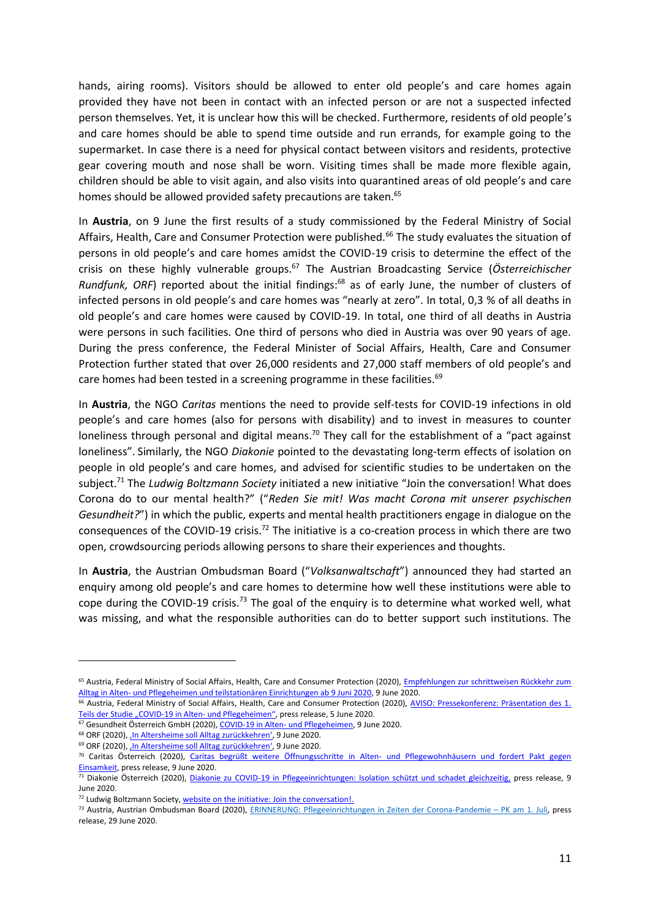hands, airing rooms). Visitors should be allowed to enter old people's and care homes again provided they have not been in contact with an infected person or are not a suspected infected person themselves. Yet, it is unclear how this will be checked. Furthermore, residents of old people's and care homes should be able to spend time outside and run errands, for example going to the supermarket. In case there is a need for physical contact between visitors and residents, protective gear covering mouth and nose shall be worn. Visiting times shall be made more flexible again, children should be able to visit again, and also visits into quarantined areas of old people's and care homes should be allowed provided safety precautions are taken.<sup>65</sup>

In **Austria**, on 9 June the first results of a study commissioned by the Federal Ministry of Social Affairs, Health, Care and Consumer Protection were published.<sup>66</sup> The study evaluates the situation of persons in old people's and care homes amidst the COVID-19 crisis to determine the effect of the crisis on these highly vulnerable groups.<sup>67</sup> The Austrian Broadcasting Service (*Österreichischer Rundfunk, ORF*) reported about the initial findings:<sup>68</sup> as of early June, the number of clusters of infected persons in old people's and care homes was "nearly at zero". In total, 0,3 % of all deaths in old people's and care homes were caused by COVID-19. In total, one third of all deaths in Austria were persons in such facilities. One third of persons who died in Austria was over 90 years of age. During the press conference, the Federal Minister of Social Affairs, Health, Care and Consumer Protection further stated that over 26,000 residents and 27,000 staff members of old people's and care homes had been tested in a screening programme in these facilities.<sup>69</sup>

In **Austria**, the NGO *Caritas* mentions the need to provide self-tests for COVID-19 infections in old people's and care homes (also for persons with disability) and to invest in measures to counter loneliness through personal and digital means.<sup>70</sup> They call for the establishment of a "pact against loneliness". Similarly, the NGO *Diakonie* pointed to the devastating long-term effects of isolation on people in old people's and care homes, and advised for scientific studies to be undertaken on the subject.<sup>71</sup> The *Ludwig Boltzmann Society* initiated a new initiative "Join the conversation! What does Corona do to our mental health?" ("*Reden Sie mit! Was macht Corona mit unserer psychischen Gesundheit?*") in which the public, experts and mental health practitioners engage in dialogue on the consequences of the COVID-19 crisis.<sup>72</sup> The initiative is a co-creation process in which there are two open, crowdsourcing periods allowing persons to share their experiences and thoughts.

In **Austria**, the Austrian Ombudsman Board ("*Volksanwaltschaft*") announced they had started an enquiry among old people's and care homes to determine how well these institutions were able to cope during the COVID-19 crisis.<sup>73</sup> The goal of the enquiry is to determine what worked well, what was missing, and what the responsible authorities can do to better support such institutions. The

 $\overline{a}$ 

<sup>&</sup>lt;sup>65</sup> Austria, Federal Ministry of Social Affairs, Health, Care and Consumer Protection (2020), Empfehlungen zur schrittweisen Rückkehr zum Alltag in Alten- [und Pflegeheimen und teilstationären Einrichtungen ab 9 Juni 2020,](https://www.sozialministerium.at/dam/jcr:8c3af2d3-f7a6-4719-a6e7-27b7452fd066/Empfehlungen%20zur%20schrittweisen%20Rückkehr%20zum%20Alltag%20in%20Alten-%20und%20Pflegeheimen%20und%20teilstationären%20Einrichtungen%20ab%209.%20Juni%202020.pdf) 9 June 2020.

<sup>66</sup> Austria, Federal Ministry of Social Affairs, Health, Care and Consumer Protection (2020), [AVISO: Pressekonferenz: Präsentation des 1.](https://www.ots.at/presseaussendung/OTS_20200605_OTS0134/aviso-pressekonferenz-praesentation-des-1-teils-der-studie-covid-19-in-alten-und-pflegeheimen)  [Teils der Studie "COVID](https://www.ots.at/presseaussendung/OTS_20200605_OTS0134/aviso-pressekonferenz-praesentation-des-1-teils-der-studie-covid-19-in-alten-und-pflegeheimen)-19 in Alten- und Pflegeheimen", press release, 5 June 2020.

<sup>&</sup>lt;sup>67</sup> Gesundheit Österreich GmbH (2020)[, COVID-19 in Alten-](https://goeg.at/sites/goeg.at/files/inline-files/COVID-19%20in%20Alten%20und%20Pflegeheimen%20v1a.pdf) und Pflegeheimen, 9 June 2020.

<sup>68</sup> ORF (2020), In Altersheime soll Alltag zurückkehren', 9 June 2020.

<sup>69</sup> ORF (2020), In Altersheime soll Alltag zurückkehren', 9 June 2020.

<sup>70</sup> Caritas Österreich (2020), [Caritas begrüßt weitere Öffnungsschritte in Alten-](https://www.ots.at/presseaussendung/OTS_20200609_OTS0097/caritas-begruesst-weitere-oeffnungsschritte-in-alten-und-pflegewohnhaeusern-und-fordert-pakt-gegen-einsamkeit) und Pflegewohnhäusern und fordert Pakt gegen [Einsamkeit,](https://www.ots.at/presseaussendung/OTS_20200609_OTS0097/caritas-begruesst-weitere-oeffnungsschritte-in-alten-und-pflegewohnhaeusern-und-fordert-pakt-gegen-einsamkeit) press release, 9 June 2020.

<sup>71</sup> Diakonie Österreich (2020), [Diakonie zu COVID-19 in Pflegeeinrichtungen: Isolation schützt und schadet gleichzeitig,](https://www.ots.at/presseaussendung/OTS_20200609_OTS0084/diakonie-zu-covid-19-in-pflegeeinrichtungen-isolation-schuetzt-und-schadet-gleichzeitig) press release, 9 June 2020.

<sup>72</sup> Ludwig Boltzmann Society[, website on the initiative: Join the conversation!.](https://corona.lbg.ac.at/)

<sup>73</sup> Austria, Austrian Ombudsman Board (2020), [ERINNERUNG: Pflegeeinrichtungen in Zeiten der Corona-Pandemie](https://www.ots.at/presseaussendung/OTS_20200629_OTS0015/erinnerung-pflegeeinrichtungen-in-zeiten-der-corona-pandemie-pk-am-1-juli) – PK am 1. Juli, press release, 29 June 2020.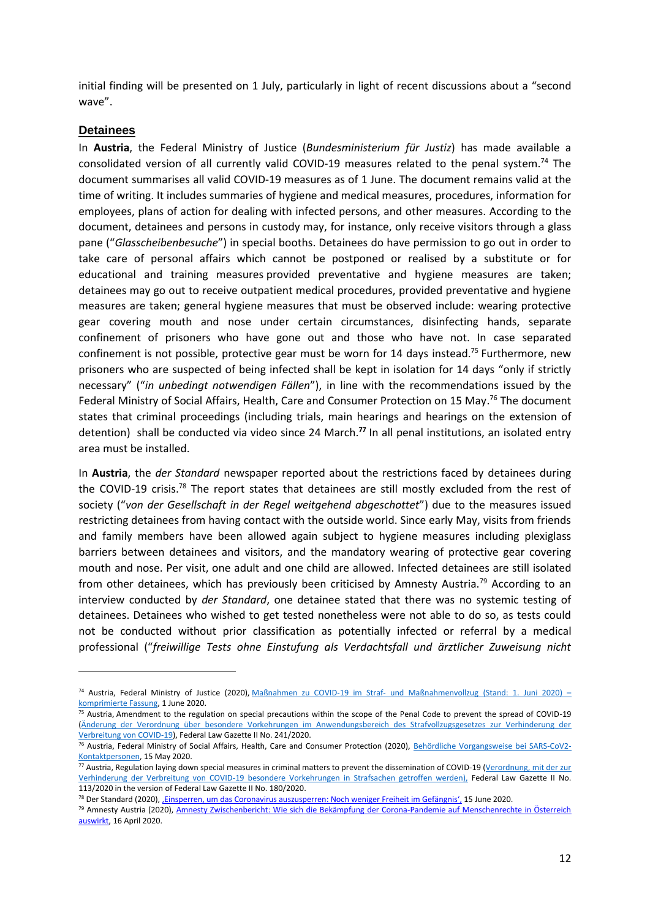initial finding will be presented on 1 July, particularly in light of recent discussions about a "second wave".

#### **Detainees**

**.** 

In **Austria**, the Federal Ministry of Justice (*Bundesministerium für Justiz*) has made available a consolidated version of all currently valid COVID-19 measures related to the penal system.<sup>74</sup> The document summarises all valid COVID-19 measures as of 1 June. The document remains valid at the time of writing. It includes summaries of hygiene and medical measures, procedures, information for employees, plans of action for dealing with infected persons, and other measures. According to the document, detainees and persons in custody may, for instance, only receive visitors through a glass pane ("*Glasscheibenbesuche*") in special booths. Detainees do have permission to go out in order to take care of personal affairs which cannot be postponed or realised by a substitute or for educational and training measures provided preventative and hygiene measures are taken; detainees may go out to receive outpatient medical procedures, provided preventative and hygiene measures are taken; general hygiene measures that must be observed include: wearing protective gear covering mouth and nose under certain circumstances, disinfecting hands, separate confinement of prisoners who have gone out and those who have not. In case separated confinement is not possible, protective gear must be worn for 14 days instead.<sup>75</sup> Furthermore, new prisoners who are suspected of being infected shall be kept in isolation for 14 days "only if strictly necessary" ("*in unbedingt notwendigen Fällen*"), in line with the recommendations issued by the Federal Ministry of Social Affairs, Health, Care and Consumer Protection on 15 May.<sup>76</sup> The document states that criminal proceedings (including trials, main hearings and hearings on the extension of detention) shall be conducted via video since 24 March. **<sup>77</sup>** In all penal institutions, an isolated entry area must be installed.

In **Austria**, the *der Standard* newspaper reported about the restrictions faced by detainees during the COVID-19 crisis.<sup>78</sup> The report states that detainees are still mostly excluded from the rest of society ("*von der Gesellschaft in der Regel weitgehend abgeschottet*") due to the measures issued restricting detainees from having contact with the outside world. Since early May, visits from friends and family members have been allowed again subject to hygiene measures including plexiglass barriers between detainees and visitors, and the mandatory wearing of protective gear covering mouth and nose. Per visit, one adult and one child are allowed. Infected detainees are still isolated from other detainees, which has previously been criticised by Amnesty Austria.<sup>79</sup> According to an interview conducted by *der Standard*, one detainee stated that there was no systemic testing of detainees. Detainees who wished to get tested nonetheless were not able to do so, as tests could not be conducted without prior classification as potentially infected or referral by a medical professional ("*freiwillige Tests ohne Einstufung als Verdachtsfall und ärztlicher Zuweisung nicht* 

<sup>74</sup> Austria, Federal Ministry of Justice (2020), Maßnahmen zu COVID-19 im Straf- [und Maßnahmenvollzug \(Stand: 1. Juni 2020\)](https://www.justiz.gv.at/file/2c94848b6ff7074f0171ba2845973e00.de.0/2020-06-01_aufrechte%20ma%C3%9Fnahmen%20im%20straf-%20und%20ma%C3%9Fnahmenvollzug_covid-19.pdf) – [komprimierte Fassung,](https://www.justiz.gv.at/file/2c94848b6ff7074f0171ba2845973e00.de.0/2020-06-01_aufrechte%20ma%C3%9Fnahmen%20im%20straf-%20und%20ma%C3%9Fnahmenvollzug_covid-19.pdf) 1 June 2020.

 $75$  Austria, Amendment to the regulation on special precautions within the scope of the Penal Code to prevent the spread of COVID-19 [\(Änderung der Verordnung über besondere Vorkehrungen im Anwendungsbereich des Strafvollzugsgesetzes zur Verhinderung der](https://www.ris.bka.gv.at/Dokumente/BgblAuth/BGBLA_2020_II_241/BGBLA_2020_II_241.html)  [Verbreitung von COVID-19\)](https://www.ris.bka.gv.at/Dokumente/BgblAuth/BGBLA_2020_II_241/BGBLA_2020_II_241.html), Federal Law Gazette II No. 241/2020.

<sup>76</sup> Austria, Federal Ministry of Social Affairs, Health, Care and Consumer Protection (2020), [Behördliche Vorgangsweise bei SARS-CoV2-](https://www.sozialministerium.at/dam/jcr:3cab84f4-126f-46fc-9120-34fcfc463450/Beh%C3%B6rdliche_Vorgangsweise_bei_SARS_22.03.2020.pdf) [Kontaktpersonen,](https://www.sozialministerium.at/dam/jcr:3cab84f4-126f-46fc-9120-34fcfc463450/Beh%C3%B6rdliche_Vorgangsweise_bei_SARS_22.03.2020.pdf) 15 May 2020.

<sup>77</sup> Austria, Regulation laying down special measures in criminal matters to prevent the dissemination of COVID-19 (Verordnung, mit der zur [Verhinderung der Verbreitung von COVID-19 besondere Vorkehrungen in Strafsachen getroffen werden\),](https://www.ris.bka.gv.at/Dokumente/BgblAuth/BGBLA_2020_II_113/BGBLA_2020_II_113.html) Federal Law Gazette II No. 113/2020 in the version of Federal Law Gazette II No. 180/2020.

<sup>78</sup> Der Standard (2020), ['Einsperren, um das Coronavirus auszusperren: Noch weniger Freiheit im Gefängnis',](https://www.derstandard.at/story/2000117998148/einsperren-um-das-coronavirus-auszusperren-noch-weniger-freiheit-im-gefaengnis) 15 June 2020.

<sup>79</sup> Amnesty Austria (2020)[, Amnesty Zwischenbericht: Wie sich die Bekämpfung der Corona-Pandemie auf Menschenrechte in Österreich](https://www.amnesty.at/news-events/amnesty-zwischenbericht-wie-sich-die-bekaempfung-der-corona-pandemie-auf-menschenrechte-in-oesterreich-auswirkt/)  [auswirkt,](https://www.amnesty.at/news-events/amnesty-zwischenbericht-wie-sich-die-bekaempfung-der-corona-pandemie-auf-menschenrechte-in-oesterreich-auswirkt/) 16 April 2020.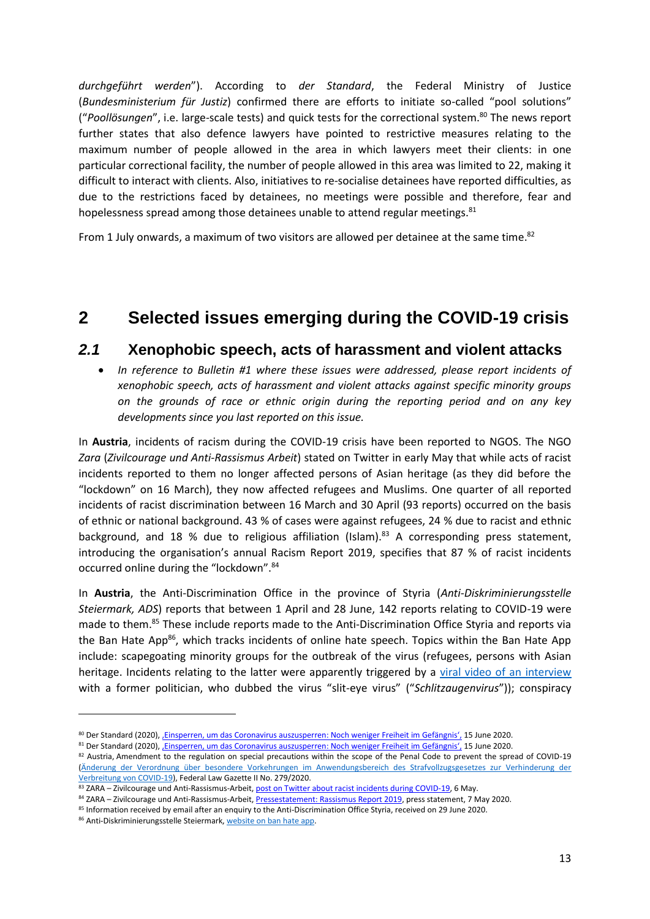*durchgeführt werden*"). According to *der Standard*, the Federal Ministry of Justice (*Bundesministerium für Justiz*) confirmed there are efforts to initiate so-called "pool solutions" ("*Poollösungen*", i.e. large-scale tests) and quick tests for the correctional system.<sup>80</sup> The news report further states that also defence lawyers have pointed to restrictive measures relating to the maximum number of people allowed in the area in which lawyers meet their clients: in one particular correctional facility, the number of people allowed in this area was limited to 22, making it difficult to interact with clients. Also, initiatives to re-socialise detainees have reported difficulties, as due to the restrictions faced by detainees, no meetings were possible and therefore, fear and hopelessness spread among those detainees unable to attend regular meetings.<sup>81</sup>

From 1 July onwards, a maximum of two visitors are allowed per detainee at the same time.<sup>82</sup>

## **2 Selected issues emerging during the COVID-19 crisis**

### *2.1* **Xenophobic speech, acts of harassment and violent attacks**

 *In reference to Bulletin #1 where these issues were addressed, please report incidents of xenophobic speech, acts of harassment and violent attacks against specific minority groups on the grounds of race or ethnic origin during the reporting period and on any key developments since you last reported on this issue.*

In **Austria**, incidents of racism during the COVID-19 crisis have been reported to NGOS. The NGO *Zara* (*Zivilcourage und Anti-Rassismus Arbeit*) stated on Twitter in early May that while acts of racist incidents reported to them no longer affected persons of Asian heritage (as they did before the "lockdown" on 16 March), they now affected refugees and Muslims. One quarter of all reported incidents of racist discrimination between 16 March and 30 April (93 reports) occurred on the basis of ethnic or national background. 43 % of cases were against refugees, 24 % due to racist and ethnic background, and 18 % due to religious affiliation (Islam).<sup>83</sup> A corresponding press statement, introducing the organisation's annual Racism Report 2019, specifies that 87 % of racist incidents occurred online during the "lockdown".<sup>84</sup>

In **Austria**, the Anti-Discrimination Office in the province of Styria (*Anti-Diskriminierungsstelle Steiermark, ADS*) reports that between 1 April and 28 June, 142 reports relating to COVID-19 were made to them.<sup>85</sup> These include reports made to the Anti-Discrimination Office Styria and reports via the Ban Hate App<sup>86</sup>, which tracks incidents of online hate speech. Topics within the Ban Hate App include: scapegoating minority groups for the outbreak of the virus (refugees, persons with Asian heritage. Incidents relating to the latter were apparently triggered by a [viral video of an interview](https://www.youtube.com/watch?v=wTFtLPowruo) with a former politician, who dubbed the virus "slit-eye virus" ("*Schlitzaugenvirus*")); conspiracy

<sup>80</sup> Der Standard (2020), Einsperren, um das Coronavirus auszusperren: Noch weniger Freiheit im Gefängnis', 15 June 2020.

<sup>81</sup> Der Standard (2020), Einsperren, um das Coronavirus auszusperren: Noch weniger Freiheit im Gefängnis', 15 June 2020.

<sup>82</sup> Austria, Amendment to the regulation on special precautions within the scope of the Penal Code to prevent the spread of COVID-19 [\(Änderung der Verordnung über besondere Vorkehrungen im Anwendungsbereich des Strafvollzugsgesetzes zur Verhinderung der](https://www.ris.bka.gv.at/Dokumente/BgblAuth/BGBLA_2020_II_279/BGBLA_2020_II_279.pdfsig)  [Verbreitung von COVID-19\)](https://www.ris.bka.gv.at/Dokumente/BgblAuth/BGBLA_2020_II_279/BGBLA_2020_II_279.pdfsig), Federal Law Gazette II No. 279/2020.

<sup>83</sup> ZARA – Zivilcourage und Anti-Rassismus-Arbeit[, post on Twitter about racist incidents during COVID-19,](https://twitter.com/Verein_ZARA/status/1257947218276950017?ref_src=twsrc%5etfw|twcamp%5etweetembed|twterm%5e1257947218276950017&ref_url=https%3A%2F%2Fwww.meinbezirk.at%2Fc-lokales%2Fcorona-krise-fuehrt-zu-mehr-hass-im-internet_a4058760) 6 May.

<sup>84</sup> ZARA - Zivilcourage und Anti-Rassismus-Arbeit[, Pressestatement: Rassismus Report 2019,](https://www.zara.or.at/de/wissen/aktuelles/n/pressemeldungen/kPbdJXoUO/Pressestatement:_Rassismus_Report_2019) press statement, 7 May 2020.

<sup>85</sup> Information received by email after an enquiry to the Anti-Discrimination Office Styria, received on 29 June 2020.

<sup>86</sup> Anti-Diskriminierungsstelle Steiermark, [website on ban hate app.](https://www.banhate.com/)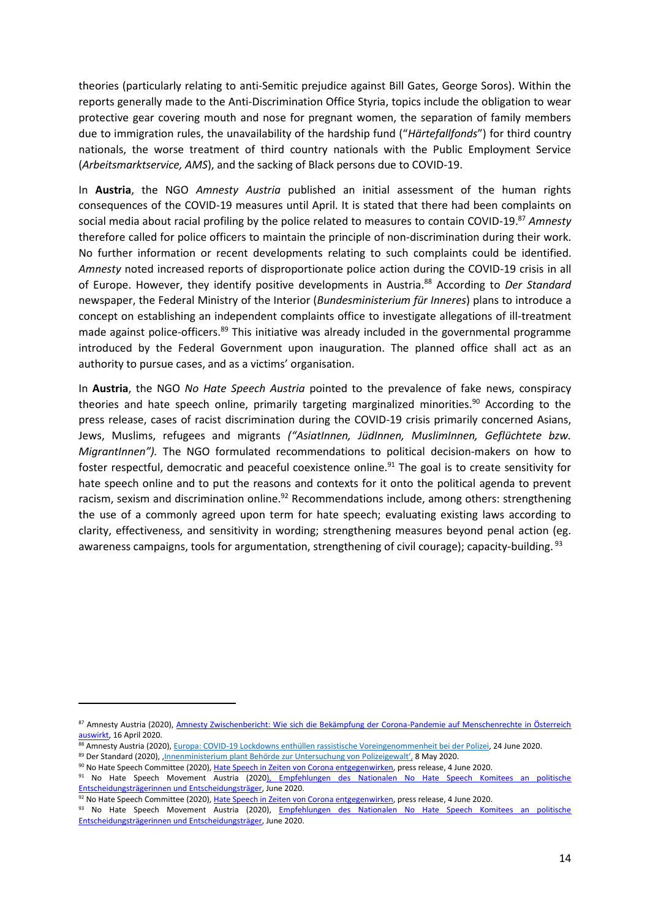theories (particularly relating to anti-Semitic prejudice against Bill Gates, George Soros). Within the reports generally made to the Anti-Discrimination Office Styria, topics include the obligation to wear protective gear covering mouth and nose for pregnant women, the separation of family members due to immigration rules, the unavailability of the hardship fund ("*Härtefallfonds*") for third country nationals, the worse treatment of third country nationals with the Public Employment Service (*Arbeitsmarktservice, AMS*), and the sacking of Black persons due to COVID-19.

In **Austria**, the NGO *Amnesty Austria* published an initial assessment of the human rights consequences of the COVID-19 measures until April. It is stated that there had been complaints on social media about racial profiling by the police related to measures to contain COVID-19. <sup>87</sup> *Amnesty* therefore called for police officers to maintain the principle of non-discrimination during their work. No further information or recent developments relating to such complaints could be identified. *Amnesty* noted increased reports of disproportionate police action during the COVID-19 crisis in all of Europe. However, they identify positive developments in Austria.<sup>88</sup> According to *Der Standard* newspaper, the Federal Ministry of the Interior (*Bundesministerium für Inneres*) plans to introduce a concept on establishing an independent complaints office to investigate allegations of ill-treatment made against police-officers.<sup>89</sup> This initiative was already included in the governmental programme introduced by the Federal Government upon inauguration. The planned office shall act as an authority to pursue cases, and as a victims' organisation.

In **Austria**, the NGO *No Hate Speech Austria* pointed to the prevalence of fake news, conspiracy theories and hate speech online, primarily targeting marginalized minorities.<sup>90</sup> According to the press release, cases of racist discrimination during the COVID-19 crisis primarily concerned Asians, Jews, Muslims, refugees and migrants *("AsiatInnen, JüdInnen, MuslimInnen, Geflüchtete bzw. MigrantInnen").* The NGO formulated recommendations to political decision-makers on how to foster respectful, democratic and peaceful coexistence online.<sup>91</sup> The goal is to create sensitivity for hate speech online and to put the reasons and contexts for it onto the political agenda to prevent racism, sexism and discrimination online.<sup>92</sup> Recommendations include, among others: strengthening the use of a commonly agreed upon term for hate speech; evaluating existing laws according to clarity, effectiveness, and sensitivity in wording; strengthening measures beyond penal action (eg. awareness campaigns, tools for argumentation, strengthening of civil courage); capacity-building. <sup>93</sup>

<sup>87</sup> Amnesty Austria (2020), Amnesty Zwischenbericht: Wie sich die Bekämpfung der Corona-Pandemie auf Menschenrechte in Österreich [auswirkt,](https://www.amnesty.at/news-events/amnesty-zwischenbericht-wie-sich-die-bekaempfung-der-corona-pandemie-auf-menschenrechte-in-oesterreich-auswirkt/) 16 April 2020.

<sup>88</sup> Amnesty Austria (2020), Europa: COVID-19 Lockdowns enthüllen [rassistische Voreingenommenheit bei der Polizei,](https://www.amnesty.at/presse/europa-covid-19-lockdowns-enthuellen-rassistische-voreingenommenheit-bei-der-polizei/) 24 June 2020. 89 Der Standard (2020), Innenministerium plant Behörde zur Untersuchung von Polizeigewalt', 8 May 2020.

<sup>90</sup> No Hate Speech Committee (2020)[, Hate Speech in Zeiten von Corona entgegenwirken,](https://www.ots.at/presseaussendung/OTS_20200604_OTS0026/hate-speech-in-zeiten-von-corona-entgegenwirken) press release, 4 June 2020.

<sup>91</sup> No Hate Speech Movement Austria (2020), Empfehlungen des Nationalen No Hate Speech Komitees an politische [Entscheidungsträgerinnen und Entscheidungsträger,](https://www.nohatespeech.at/wp-content/uploads/2020/06/Empfehlungen_No_Hate_Speech_Komitee_06_2020.pdf) June 2020.

<sup>92</sup> No Hate Speech Committee (2020)[, Hate Speech in Zeiten von Corona entgegenwirken,](https://www.ots.at/presseaussendung/OTS_20200604_OTS0026/hate-speech-in-zeiten-von-corona-entgegenwirken) press release, 4 June 2020.

<sup>93</sup> No Hate Speech Movement Austria (2020), Empfehlungen des Nationalen No Hate Speech Komitees an politische [Entscheidungsträgerinnen und Entscheidungsträger,](https://www.nohatespeech.at/wp-content/uploads/2020/06/Empfehlungen_No_Hate_Speech_Komitee_06_2020.pdf) June 2020.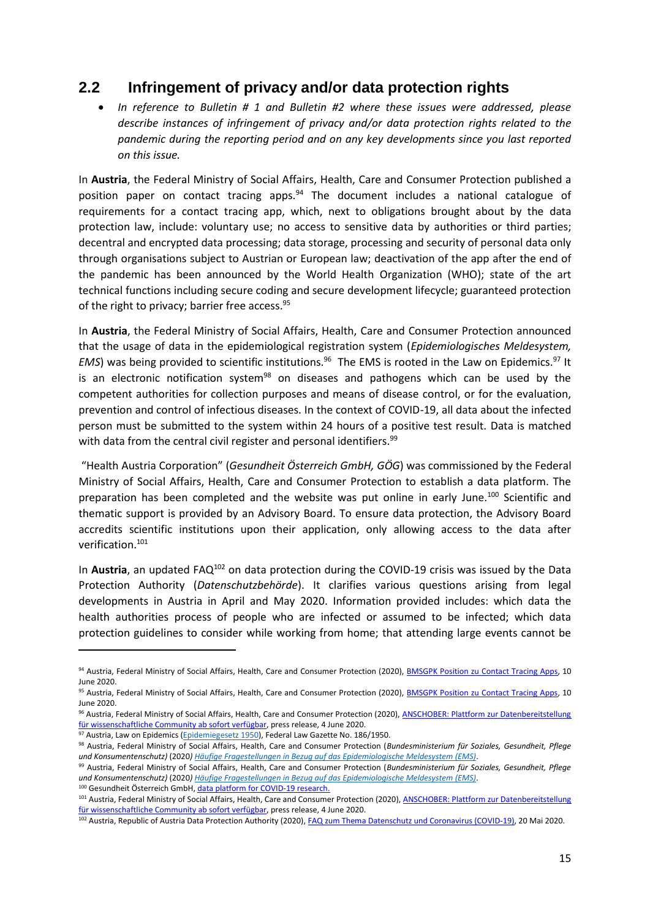### **2.2 Infringement of privacy and/or data protection rights**

 *In reference to Bulletin # 1 and Bulletin #2 where these issues were addressed, please describe instances of infringement of privacy and/or data protection rights related to the pandemic during the reporting period and on any key developments since you last reported on this issue.*

In **Austria**, the Federal Ministry of Social Affairs, Health, Care and Consumer Protection published a position paper on contact tracing apps. $94$  The document includes a national catalogue of requirements for a contact tracing app, which, next to obligations brought about by the data protection law, include: voluntary use; no access to sensitive data by authorities or third parties; decentral and encrypted data processing; data storage, processing and security of personal data only through organisations subject to Austrian or European law; deactivation of the app after the end of the pandemic has been announced by the World Health Organization (WHO); state of the art technical functions including secure coding and secure development lifecycle; guaranteed protection of the right to privacy; barrier free access.<sup>95</sup>

In **Austria**, the Federal Ministry of Social Affairs, Health, Care and Consumer Protection announced that the usage of data in the epidemiological registration system (*Epidemiologisches Meldesystem, EMS*) was being provided to scientific institutions.<sup>96</sup> The EMS is rooted in the Law on Epidemics.<sup>97</sup> It is an electronic notification system<sup>98</sup> on diseases and pathogens which can be used by the competent authorities for collection purposes and means of disease control, or for the evaluation, prevention and control of infectious diseases. In the context of COVID-19, all data about the infected person must be submitted to the system within 24 hours of a positive test result. Data is matched with data from the central civil register and personal identifiers.<sup>99</sup>

"Health Austria Corporation" (*Gesundheit Österreich GmbH, GÖG*) was commissioned by the Federal Ministry of Social Affairs, Health, Care and Consumer Protection to establish a data platform. The preparation has been completed and the website was put online in early June.<sup>100</sup> Scientific and thematic support is provided by an Advisory Board. To ensure data protection, the Advisory Board accredits scientific institutions upon their application, only allowing access to the data after verification.<sup>101</sup>

In **Austria**, an updated FAQ<sup>102</sup> on data protection during the COVID-19 crisis was issued by the Data Protection Authority (*Datenschutzbehörde*). It clarifies various questions arising from legal developments in Austria in April and May 2020. Information provided includes: which data the health authorities process of people who are infected or assumed to be infected; which data protection guidelines to consider while working from home; that attending large events cannot be

<sup>94</sup> Austria, Federal Ministry of Social Affairs, Health, Care and Consumer Protection (2020)[, BMSGPK Position zu Contact Tracing Apps,](https://www.sozialministerium.at/dam/jcr:7f239f3e-2ad8-49bf-a9ea-fdc8002fcf35/BMSGPK_Position_zum_Thema_Contact_Tracing_Apps.pdf) 10 June 2020.

<sup>95</sup> Austria, Federal Ministry of Social Affairs, Health, Care and Consumer Protection (2020)[, BMSGPK Position zu Contact Tracing Apps,](https://www.sozialministerium.at/dam/jcr:7f239f3e-2ad8-49bf-a9ea-fdc8002fcf35/BMSGPK_Position_zum_Thema_Contact_Tracing_Apps.pdf) 10 June 2020.

<sup>96</sup> Austria, Federal Ministry of Social Affairs, Health, Care and Consumer Protection (2020), ANSCHOBER: Plattform zur Datenbereitstellung [für wissenschaftliche Community ab sofort verfügbar,](https://www.ots.at/presseaussendung/OTS_20200604_OTS0042/anschober-plattform-zur-datenbereitstellung-fuer-wissenschaftliche-community-ab-sofort-verfuegbar) press release, 4 June 2020.

 $97$  Austria, Law on Epidemics [\(Epidemiegesetz 1950\)](https://www.ris.bka.gv.at/GeltendeFassung.wxe?Abfrage=Bundesnormen&Gesetzesnummer=10010265), Federal Law Gazette No. 186/1950.

<sup>98</sup> Austria, Federal Ministry of Social Affairs, Health, Care and Consumer Protection (*Bundesministerium für Soziales, Gesundheit, Pflege und Konsumentenschutz)* (2020*) [Häufige Fragestellungen in Bezug auf das Epidemiologische Meldesystem \(EMS\)](https://www.sozialministerium.at/dam/jcr:f4822e6a-b997-4ac1-b052-f87a59ebfacf/H%C3%A4ufige%20Fragen%20zum%20EMS.pdf)*.

<sup>99</sup> Austria, Federal Ministry of Social Affairs, Health, Care and Consumer Protection (*Bundesministerium für Soziales, Gesundheit, Pflege und Konsumentenschutz)* (2020*) [Häufige Fragestellungen in Bezug auf das Epidemiologische Meldesystem \(EMS\)](https://www.sozialministerium.at/dam/jcr:f4822e6a-b997-4ac1-b052-f87a59ebfacf/H%C3%A4ufige%20Fragen%20zum%20EMS.pdf)*. 100 Gesundheit Österreich GmbH[, data platform for COVID-19 research.](https://www.ots.at/presseaussendung/OTS_20200604_OTS0042/anschober-plattform-zur-datenbereitstellung-fuer-wissenschaftliche-community-ab-sofort-verfuegbar)

<sup>101</sup> Austria, Federal Ministry of Social Affairs, Health, Care and Consumer Protection (2020), ANSCHOBER: Plattform zur Datenbereitstellung [für wissenschaftliche Community ab sofort verfügbar,](https://www.ots.at/presseaussendung/OTS_20200604_OTS0042/anschober-plattform-zur-datenbereitstellung-fuer-wissenschaftliche-community-ab-sofort-verfuegbar) press release, 4 June 2020.

<sup>102</sup> Austria, Republic of Austria Data Protection Authority (2020)[, FAQ zum Thema Datenschutz und Coronavirus \(COVID-19\),](https://www.dsb.gv.at/documents/22758/23115/faq_zum_thema_datenschutz_und_coronavirus_covid-19_stand_20_5_2020.pdf/134da7e3-beb0-4ba3-858b-aec2c24c550f) 20 Mai 2020.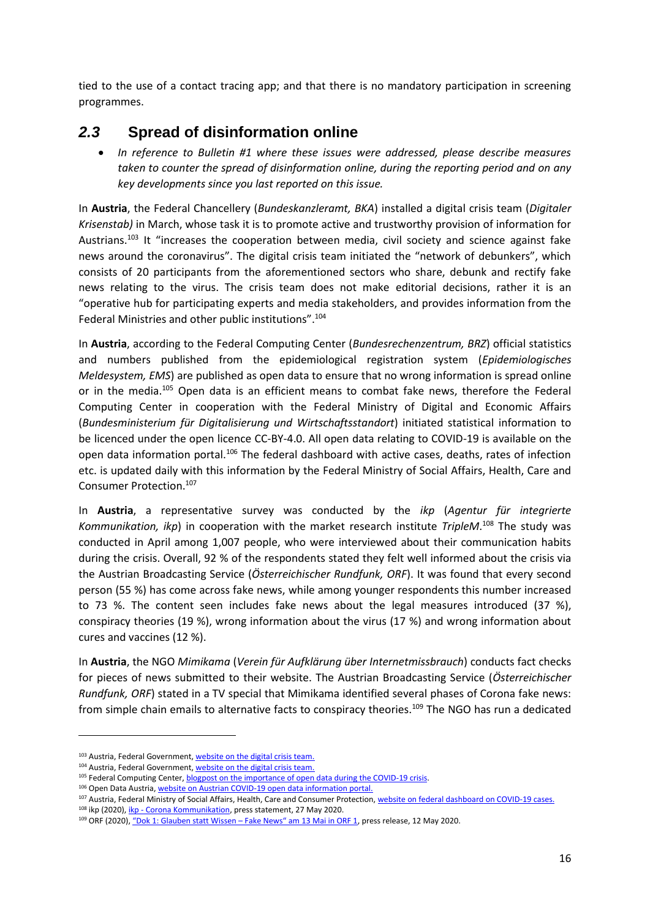tied to the use of a contact tracing app; and that there is no mandatory participation in screening programmes.

### *2.3* **Spread of disinformation online**

 *In reference to Bulletin #1 where these issues were addressed, please describe measures taken to counter the spread of disinformation online, during the reporting period and on any key developments since you last reported on this issue.*

In **Austria**, the Federal Chancellery (*Bundeskanzleramt, BKA*) installed a digital crisis team (*Digitaler Krisenstab)* in March, whose task it is to promote active and trustworthy provision of information for Austrians.<sup>103</sup> It "increases the cooperation between media, civil society and science against fake news around the coronavirus". The digital crisis team initiated the "network of debunkers", which consists of 20 participants from the aforementioned sectors who share, debunk and rectify fake news relating to the virus. The crisis team does not make editorial decisions, rather it is an "operative hub for participating experts and media stakeholders, and provides information from the Federal Ministries and other public institutions".<sup>104</sup>

In **Austria**, according to the Federal Computing Center (*Bundesrechenzentrum, BRZ*) official statistics and numbers published from the epidemiological registration system (*Epidemiologisches Meldesystem, EMS*) are published as open data to ensure that no wrong information is spread online or in the media.<sup>105</sup> Open data is an efficient means to combat fake news, therefore the Federal Computing Center in cooperation with the Federal Ministry of Digital and Economic Affairs (*Bundesministerium für Digitalisierung und Wirtschaftsstandort*) initiated statistical information to be licenced under the open licence CC-BY-4.0. All open data relating to COVID-19 is available on the open data information portal.<sup>106</sup> The federal dashboard with active cases, deaths, rates of infection etc. is updated daily with this information by the Federal Ministry of Social Affairs, Health, Care and Consumer Protection.<sup>107</sup>

In **Austria**, a representative survey was conducted by the *ikp* (*Agentur für integrierte Kommunikation, ikp*) in cooperation with the market research institute *TripleM*. <sup>108</sup> The study was conducted in April among 1,007 people, who were interviewed about their communication habits during the crisis. Overall, 92 % of the respondents stated they felt well informed about the crisis via the Austrian Broadcasting Service (*Österreichischer Rundfunk, ORF*). It was found that every second person (55 %) has come across fake news, while among younger respondents this number increased to 73 %. The content seen includes fake news about the legal measures introduced (37 %), conspiracy theories (19 %), wrong information about the virus (17 %) and wrong information about cures and vaccines (12 %).

In **Austria**, the NGO *Mimikama* (*Verein für Aufklärung über Internetmissbrauch*) conducts fact checks for pieces of news submitted to their website. The Austrian Broadcasting Service (*Österreichischer Rundfunk, ORF*) stated in a TV special that Mimikama identified several phases of Corona fake news: from simple chain emails to alternative facts to conspiracy theories.<sup>109</sup> The NGO has run a dedicated

<sup>103</sup> Austria, Federal Government[, website on the digital crisis team.](https://www.oesterreich.gv.at/nachrichten/allgemein/Digitaler-Krisenstab-und-Aufdecker-Netzwerk.html)

<sup>104</sup> Austria, Federal Government[, website on the digital crisis team.](https://www.oesterreich.gv.at/nachrichten/allgemein/Digitaler-Krisenstab-und-Aufdecker-Netzwerk.html)

<sup>105</sup> Federal Computing Center, **blogpost on the importance of open data during the COVID-19 crisis.** 

<sup>106</sup> Open Data Austria, [website on Austrian COVID-19 open data information portal.](https://www.data.gv.at/covid-19/)

<sup>107</sup> Austria, Federal Ministry of Social Affairs, Health, Care and Consumer Protection[, website on federal dashboard on COVID-19 cases.](https://info.gesundheitsministerium.at/)

<sup>&</sup>lt;sup>108</sup> ikp (2020), *ikp - Corona Kommunikation*, press statement, 27 May 2020.

<sup>109</sup> ORF (2020), ["Dok 1: Glauben statt Wissen –](https://www.ots.at/presseaussendung/OTS_20200512_OTS0092/dok-1-glauben-statt-wissen-fake-news-am-13-mai-in-orf-1) Fake News" am 13 Mai in ORF 1, press release, 12 May 2020.